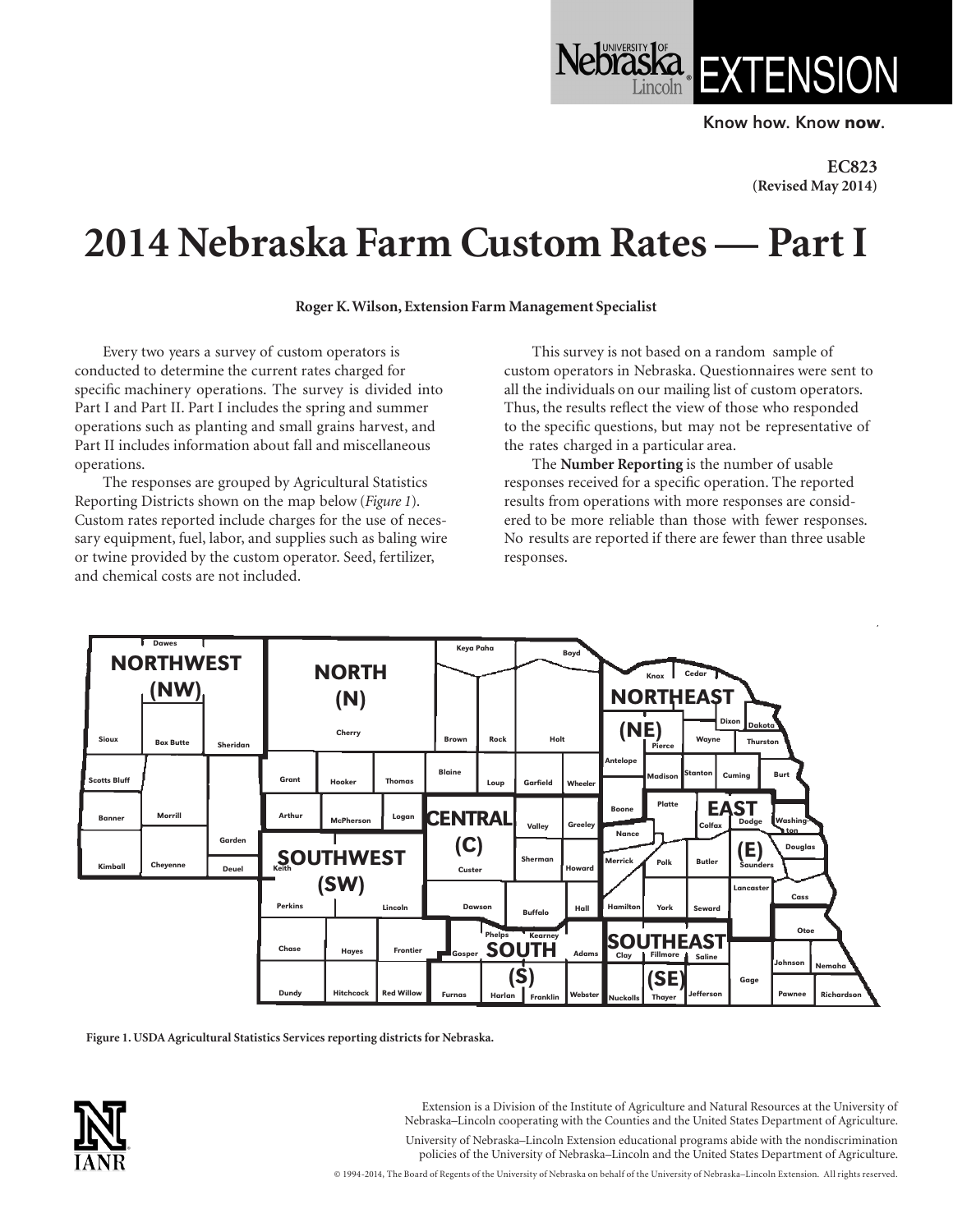Know how. Know now.

**Jebraska** EXTENSION

**EC823 (Revised May 2014)**

## **2014 Nebraska Farm Custom Rates — Part I**

**Roger K. Wilson, Extension Farm Management Specialist**

Every two years a survey of custom operators is conducted to determine the current rates charged for specific machinery operations. The survey is divided into Part I and Part II. Part I includes the spring and summer operations such as planting and small grains harvest, and Part II includes information about fall and miscellaneous operations.

The responses are grouped by Agricultural Statistics Reporting Districts shown on the map below (*Figure 1*). Custom rates reported include charges for the use of necessary equipment, fuel, labor, and supplies such as baling wire or twine provided by the custom operator. Seed, fertilizer, and chemical costs are not included.

This survey is not based on a random sample of custom operators in Nebraska. Questionnaires were sent to all the individuals on our mailing list of custom operators. Thus, the results reflect the view of those who responded to the specific questions, but may not be representative of the rates charged in a particular area.

The **Number Reporting** is the number of usable responses received for a specific operation. The reported results from operations with more responses are considered to be more reliable than those with fewer responses. No results are reported if there are fewer than three usable responses.



**Figure 1. USDA Agricultural Statistics Services reporting districts for Nebraska.**



Extension is a Division of the Institute of Agriculture and Natural Resources at the University of Nebraska–Lincoln cooperating with the Counties and the United States Department of Agriculture. University of Nebraska–Lincoln Extension educational programs abide with the nondiscrimination policies of the University of Nebraska–Lincoln and the United States Department of Agriculture.

© 1994-2014, The Board of Regents of the University of Nebraska on behalf of the University of Nebraska–Lincoln Extension. All rights reserved.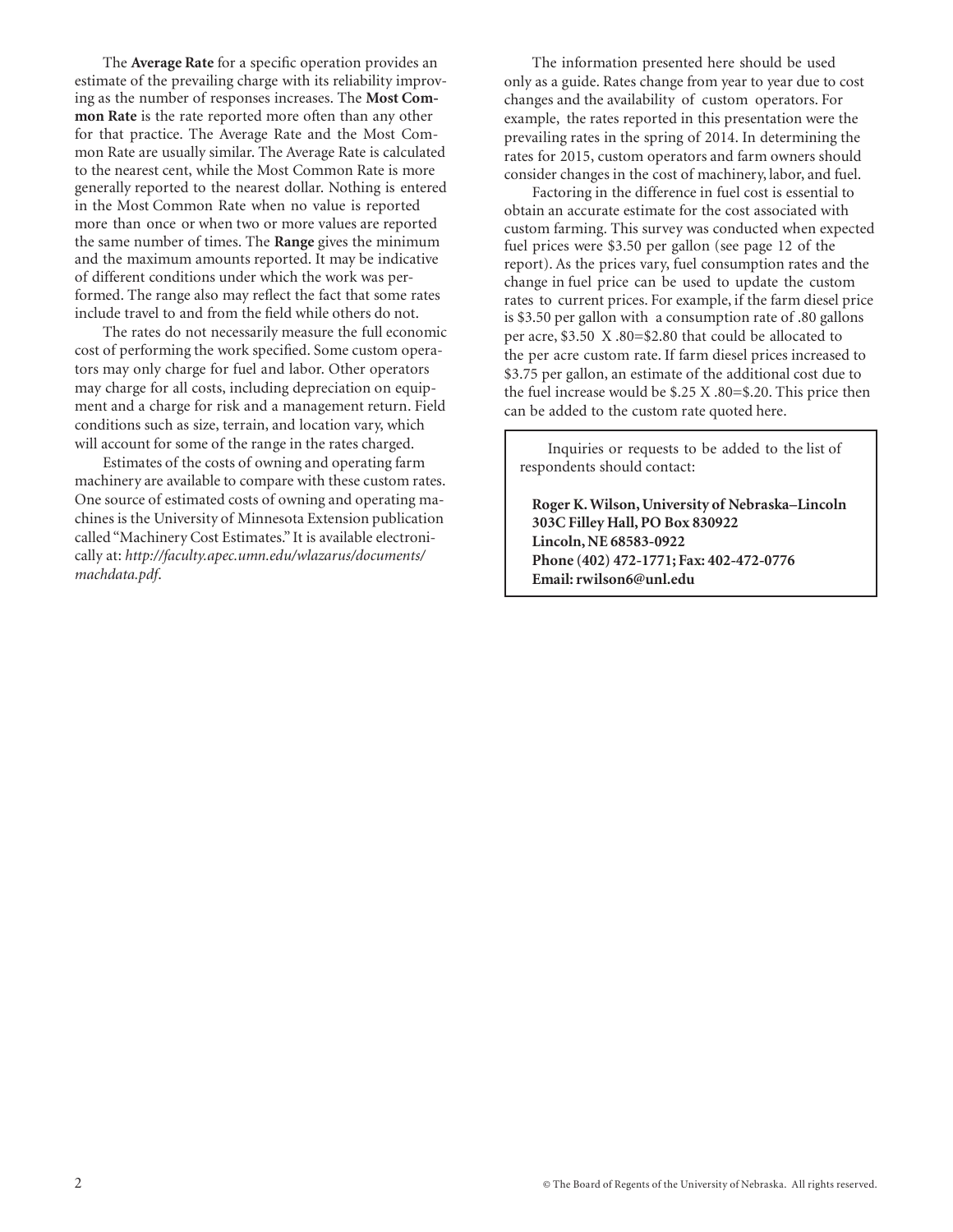The **Average Rate** for a specific operation provides an estimate of the prevailing charge with its reliability improving as the number of responses increases. The **Most Common Rate** is the rate reported more often than any other for that practice. The Average Rate and the Most Common Rate are usually similar. The Average Rate is calculated to the nearest cent, while the Most Common Rate is more generally reported to the nearest dollar. Nothing is entered in the Most Common Rate when no value is reported more than once or when two or more values are reported the same number of times. The **Range** gives the minimum and the maximum amounts reported. It may be indicative of different conditions under which the work was performed. The range also may reflect the fact that some rates include travel to and from the field while others do not.

The rates do not necessarily measure the full economic cost of performing the work specified. Some custom operators may only charge for fuel and labor. Other operators may charge for all costs, including depreciation on equipment and a charge for risk and a management return. Field conditions such as size, terrain, and location vary, which will account for some of the range in the rates charged.

Estimates of the costs of owning and operating farm machinery are available to compare with these custom rates. One source of estimated costs of owning and operating machines is the University of Minnesota Extension publication called "Machinery Cost Estimates." It is available electronically at: *http://faculty.apec.umn.edu/wlazarus/documents/ machdata.pdf*.

The information presented here should be used only as a guide. Rates change from year to year due to cost changes and the availability of custom operators. For example, the rates reported in this presentation were the prevailing rates in the spring of 2014. In determining the rates for 2015, custom operators and farm owners should consider changes in the cost of machinery, labor, and fuel.

Factoring in the difference in fuel cost is essential to obtain an accurate estimate for the cost associated with custom farming. This survey was conducted when expected fuel prices were \$3.50 per gallon (see page 12 of the report). As the prices vary, fuel consumption rates and the change in fuel price can be used to update the custom rates to current prices. For example, if the farm diesel price is \$3.50 per gallon with a consumption rate of .80 gallons per acre, \$3.50 X .80=\$2.80 that could be allocated to the per acre custom rate. If farm diesel prices increased to \$3.75 per gallon, an estimate of the additional cost due to the fuel increase would be \$.25 X .80=\$.20. This price then can be added to the custom rate quoted here.

Inquiries or requests to be added to the list of respondents should contact:

**Roger K. Wilson, University of Nebraska–Lincoln 303C Filley Hall, PO Box 830922 Lincoln, NE 68583-0922 Phone (402) 472-1771; Fax: 402-472-0776 Email: [rwilson6@unl.edu](mailto:rwilson6@unl.edu)**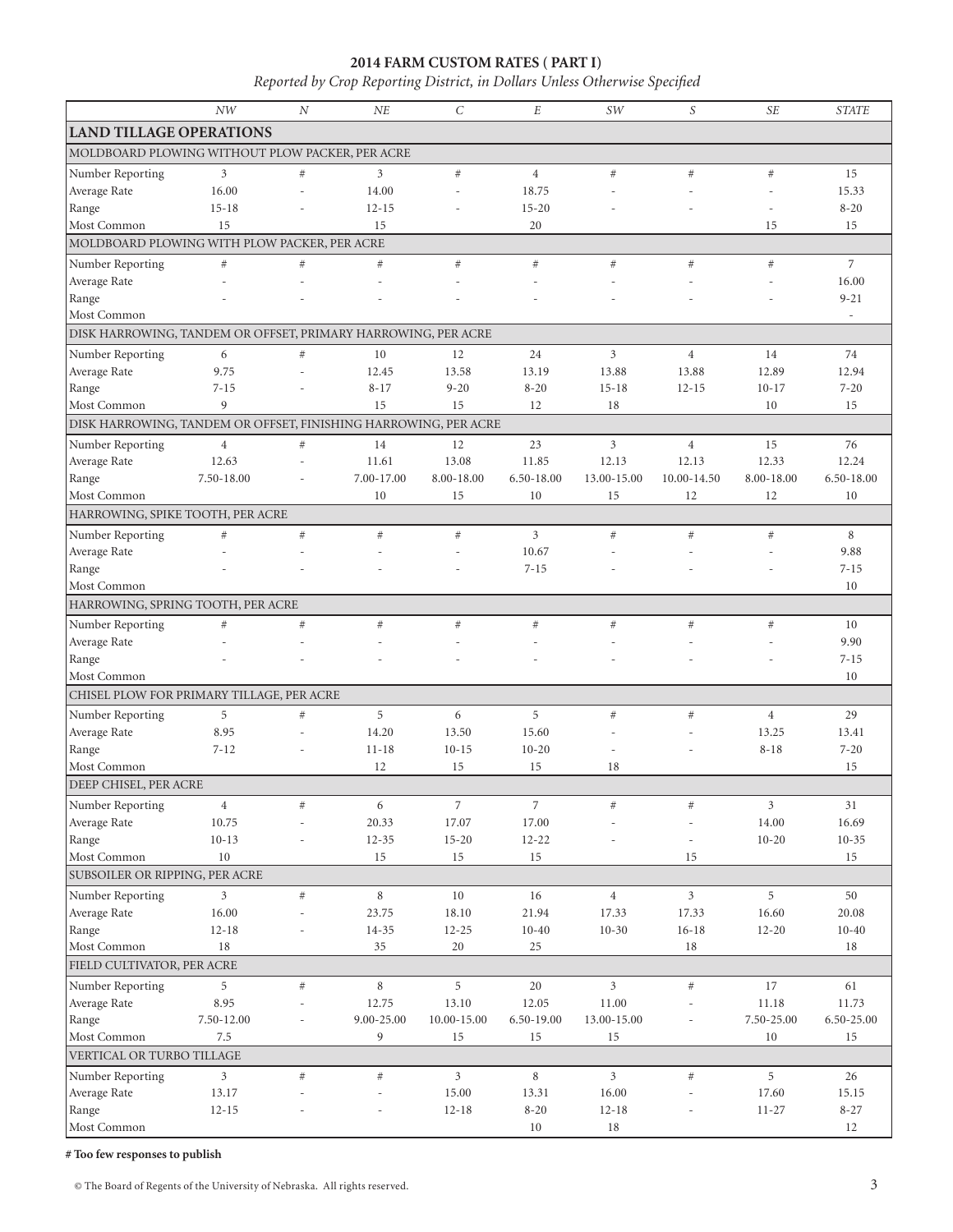## **2014 FARM CUSTOM RATES ( PART I)**

*Reported by Crop Reporting District, in Dollars Unless Otherwise Specified*

|                                                                 | NW                      | N              | NE              | $\mathcal{C}$           | E                       | SW             | S              | <b>SE</b>               | <b>STATE</b>   |
|-----------------------------------------------------------------|-------------------------|----------------|-----------------|-------------------------|-------------------------|----------------|----------------|-------------------------|----------------|
| <b>LAND TILLAGE OPERATIONS</b>                                  |                         |                |                 |                         |                         |                |                |                         |                |
| MOLDBOARD PLOWING WITHOUT PLOW PACKER, PER ACRE                 |                         |                |                 |                         |                         |                |                |                         |                |
| Number Reporting                                                | 3                       | $\#$           | 3               | $\#$                    | $\overline{4}$          | #              | #              | #                       | 15             |
| Average Rate                                                    | 16.00                   | $\overline{a}$ | 14.00           | L.                      | 18.75                   |                |                | ÷,                      | 15.33          |
| Range                                                           | $15 - 18$               |                | $12 - 15$       |                         | $15 - 20$               |                |                |                         | $8 - 20$       |
| Most Common                                                     | 15                      |                | 15              |                         | 20                      |                |                | 15                      | 15             |
| MOLDBOARD PLOWING WITH PLOW PACKER, PER ACRE                    |                         |                |                 |                         |                         |                |                |                         |                |
| Number Reporting                                                | $\#$                    | $\#$           | $\#$            | $\#$                    | $\#$                    | #              | $#$            | #                       | $\overline{7}$ |
| Average Rate                                                    |                         |                |                 |                         |                         |                |                |                         | 16.00          |
| Range                                                           |                         |                |                 |                         |                         |                |                |                         | $9 - 21$       |
| Most Common                                                     |                         |                |                 |                         |                         |                |                |                         | $\sim$         |
| DISK HARROWING, TANDEM OR OFFSET, PRIMARY HARROWING, PER ACRE   |                         |                |                 |                         |                         |                |                |                         |                |
| Number Reporting                                                | 6                       | $\#$           | 10              | 12                      | 24                      | 3              | $\overline{4}$ | 14                      | 74             |
| Average Rate                                                    | 9.75                    |                | 12.45           | 13.58                   | 13.19                   | 13.88          | 13.88          | 12.89                   | 12.94          |
| Range                                                           | $7 - 15$                |                | $8 - 17$        | $9 - 20$                | $8 - 20$                | $15 - 18$      | $12 - 15$      | $10 - 17$               | $7 - 20$       |
| Most Common                                                     | 9                       |                | 15              | 15                      | 12                      | 18             |                | 10                      | 15             |
| DISK HARROWING, TANDEM OR OFFSET, FINISHING HARROWING, PER ACRE |                         |                |                 |                         |                         |                |                |                         |                |
| Number Reporting                                                | $\overline{4}$          | $\#$           | 14              | 12                      | 23                      | $\mathfrak{Z}$ | $\overline{4}$ | 15                      | 76             |
| Average Rate                                                    | 12.63                   |                | 11.61           | 13.08                   | 11.85                   | 12.13          | 12.13          | 12.33                   | 12.24          |
| Range                                                           | 7.50-18.00              |                | 7.00-17.00      | 8.00-18.00              | 6.50-18.00              | 13.00-15.00    | 10.00-14.50    | 8.00-18.00              | 6.50-18.00     |
| Most Common                                                     |                         |                | 10              | 15                      | 10                      | 15             | 12             | 12                      | 10             |
| HARROWING, SPIKE TOOTH, PER ACRE                                |                         |                |                 |                         |                         |                |                |                         |                |
| Number Reporting                                                | $\#$                    | $\#$           | $\#$            | $\#$                    | $\overline{3}$          | #              | $#$            | #                       | 8              |
| Average Rate                                                    |                         |                |                 |                         | 10.67                   |                |                |                         | 9.88           |
| Range                                                           |                         |                |                 |                         | $7 - 15$                |                |                |                         | $7 - 15$       |
| Most Common                                                     |                         |                |                 |                         |                         |                |                |                         | 10             |
| HARROWING, SPRING TOOTH, PER ACRE                               |                         |                |                 |                         |                         |                |                |                         |                |
| Number Reporting                                                | $\#$                    | $\#$           | #               | #                       | #                       | #              | $#$            | #                       | 10             |
| Average Rate                                                    |                         |                |                 |                         |                         |                |                |                         | 9.90           |
| Range                                                           |                         |                |                 |                         |                         |                |                |                         | $7 - 15$       |
| Most Common                                                     |                         |                |                 |                         |                         |                |                |                         | 10             |
| CHISEL PLOW FOR PRIMARY TILLAGE, PER ACRE                       |                         |                |                 |                         |                         |                |                |                         |                |
| Number Reporting                                                | 5                       | $\#$           | 5               | 6                       | 5                       | #              | $\#$           | $\overline{4}$          | 29             |
| Average Rate                                                    | 8.95                    |                | 14.20           | 13.50                   | 15.60                   |                |                | 13.25                   | 13.41          |
| Range<br>Most Common                                            | $7 - 12$                | L,             | $11 - 18$<br>12 | $10 - 15$<br>15         | $10 - 20$<br>15         | ٠<br>18        |                | $8 - 18$                | $7 - 20$<br>15 |
| DEEP CHISEL, PER ACRE                                           |                         |                |                 |                         |                         |                |                |                         |                |
|                                                                 |                         |                |                 |                         |                         |                |                |                         |                |
| Number Reporting                                                | $\overline{4}$<br>10.75 | $\#$           | 6<br>20.33      | $\overline{7}$<br>17.07 | $\overline{7}$<br>17.00 | $\#$           | $\#$           | $\mathfrak{Z}$<br>14.00 | 31<br>16.69    |
| Average Rate<br>Range                                           | $10 - 13$               |                | $12 - 35$       | $15 - 20$               | $12 - 22$               |                |                | $10 - 20$               | $10 - 35$      |
| Most Common                                                     | 10                      |                | 15              | 15                      | 15                      |                | 15             |                         | 15             |
| SUBSOILER OR RIPPING, PER ACRE                                  |                         |                |                 |                         |                         |                |                |                         |                |
| Number Reporting                                                | $\mathfrak{Z}$          | $\#$           | $\,$ 8 $\,$     | 10                      | $16\,$                  | $\overline{4}$ | $\mathfrak{Z}$ | 5                       | $50\,$         |
| Average Rate                                                    | 16.00                   |                | 23.75           | 18.10                   | 21.94                   | 17.33          | 17.33          | 16.60                   | 20.08          |
| Range                                                           | $12 - 18$               |                | $14 - 35$       | $12 - 25$               | $10 - 40$               | $10-30$        | $16 - 18$      | $12 - 20$               | $10 - 40$      |
| Most Common                                                     | 18                      |                | 35              | 20                      | 25                      |                | 18             |                         | 18             |
| FIELD CULTIVATOR, PER ACRE                                      |                         |                |                 |                         |                         |                |                |                         |                |
| Number Reporting                                                | 5                       | $\#$           | 8               | 5                       | $20\,$                  | $\mathfrak{Z}$ | $\#$           | 17                      | 61             |
| Average Rate                                                    | 8.95                    |                | 12.75           | 13.10                   | 12.05                   | 11.00          |                | 11.18                   | 11.73          |
| Range                                                           | $7.50 - 12.00$          | L,             | 9.00-25.00      | 10.00-15.00             | 6.50-19.00              | 13.00-15.00    | $\overline{a}$ | $7.50 - 25.00$          | 6.50-25.00     |
| Most Common                                                     | 7.5                     |                | 9               | 15                      | 15                      | 15             |                | 10                      | 15             |
| VERTICAL OR TURBO TILLAGE                                       |                         |                |                 |                         |                         |                |                |                         |                |
| Number Reporting                                                | $\mathfrak{Z}$          | $\#$           | $\#$            | $\overline{3}$          | 8                       | $\overline{3}$ | $\#$           | 5                       | 26             |
| Average Rate                                                    | 13.17                   |                |                 | 15.00                   | 13.31                   | 16.00          |                | 17.60                   | 15.15          |
| Range                                                           | $12 - 15$               |                |                 | $12 - 18$               | $8 - 20$                | $12 - 18$      |                | $11 - 27$               | $8 - 27$       |
| Most Common                                                     |                         |                |                 |                         | $10\,$                  | $18\,$         |                |                         | 12             |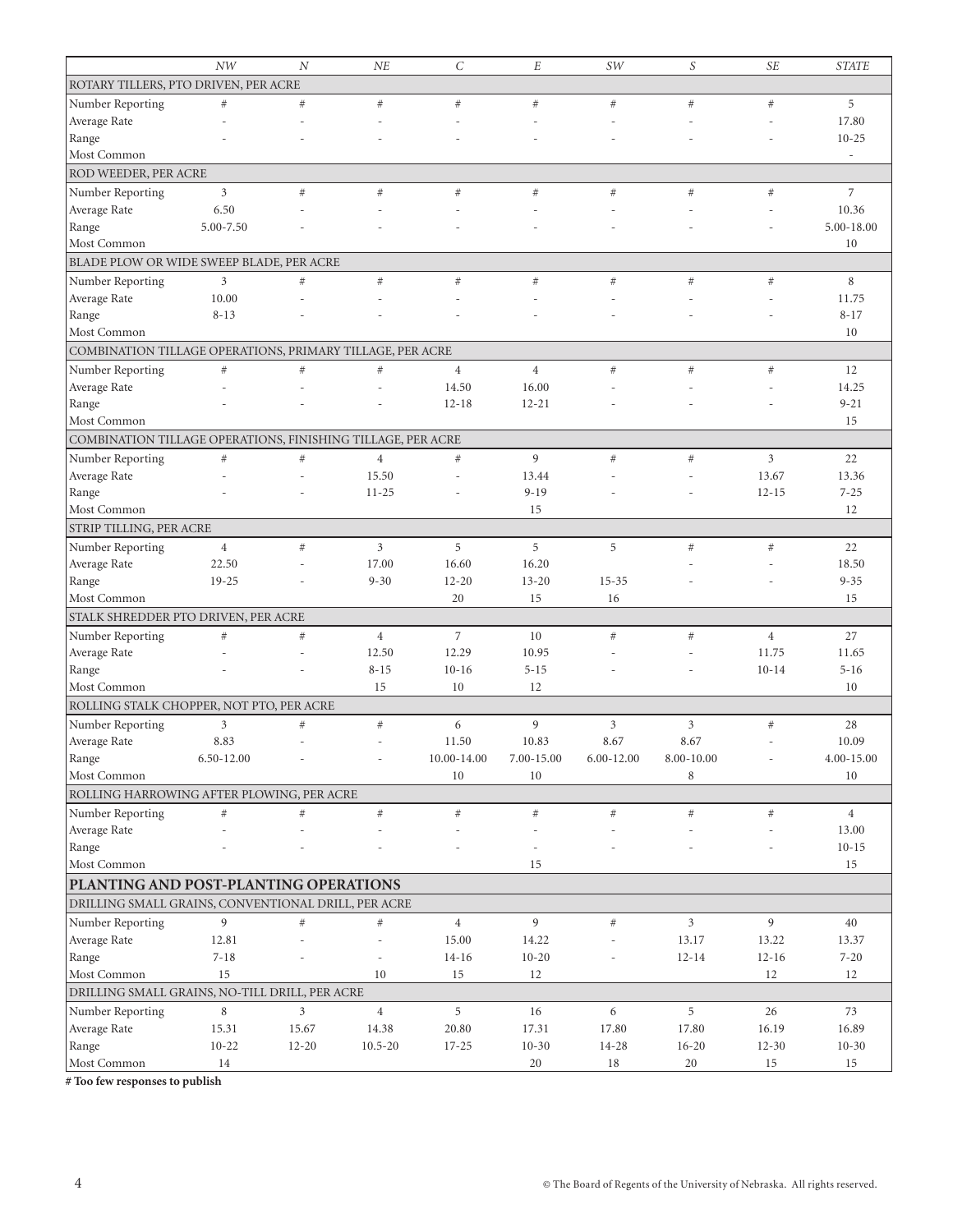|                                                             | NW             | N                        | NE                       | $\mathcal{C}_{0}^{2}$ | E              | SW             | S              | <b>SE</b>      | <b>STATE</b>   |
|-------------------------------------------------------------|----------------|--------------------------|--------------------------|-----------------------|----------------|----------------|----------------|----------------|----------------|
| ROTARY TILLERS, PTO DRIVEN, PER ACRE                        |                |                          |                          |                       |                |                |                |                |                |
| Number Reporting                                            | #              | $\#$                     | $\#$                     | $\#$                  | $\#$           | $\#$           | $\#$           | #              | 5              |
| Average Rate                                                |                |                          |                          |                       |                |                |                |                | 17.80          |
| Range                                                       |                |                          |                          |                       |                |                |                |                | $10 - 25$      |
| Most Common                                                 |                |                          |                          |                       |                |                |                |                |                |
| ROD WEEDER, PER ACRE                                        |                |                          |                          |                       |                |                |                |                |                |
| Number Reporting                                            | $\mathfrak{Z}$ | $\#$                     | $\#$                     | $\#$                  | $\#$           | $\#$           | $\#$           | $\#$           | $\overline{7}$ |
| Average Rate                                                | 6.50           |                          |                          |                       |                |                |                |                | 10.36          |
| Range                                                       | 5.00-7.50      |                          |                          |                       |                |                |                |                | 5.00-18.00     |
| Most Common                                                 |                |                          |                          |                       |                |                |                |                | 10             |
| BLADE PLOW OR WIDE SWEEP BLADE, PER ACRE                    |                |                          |                          |                       |                |                |                |                |                |
| Number Reporting                                            | $\mathfrak{Z}$ | $\#$                     | $\#$                     | $\#$                  | $\#$           | $\#$           | $\#$           | $\#$           | 8              |
| Average Rate                                                | 10.00          |                          |                          |                       |                |                |                |                | 11.75          |
| Range                                                       | $8 - 13$       |                          |                          |                       |                |                |                |                | $8 - 17$       |
| Most Common                                                 |                |                          |                          |                       |                |                |                |                | 10             |
| COMBINATION TILLAGE OPERATIONS, PRIMARY TILLAGE, PER ACRE   |                |                          |                          |                       |                |                |                |                |                |
| Number Reporting                                            | $\#$           | $\#$                     | $\#$                     | $\overline{4}$        | $\overline{4}$ | $\#$           | $\#$           | $\#$           | 12             |
| Average Rate                                                |                |                          |                          | 14.50                 | 16.00          |                |                |                | 14.25          |
| Range                                                       |                |                          |                          | $12 - 18$             | $12 - 21$      |                |                |                | $9 - 21$       |
| Most Common                                                 |                |                          |                          |                       |                |                |                |                | 15             |
| COMBINATION TILLAGE OPERATIONS, FINISHING TILLAGE, PER ACRE |                |                          |                          |                       |                |                |                |                |                |
| Number Reporting                                            | $\#$           | $\#$                     | $\overline{4}$           | $\#$                  | 9              | $\#$           | $\#$           | 3              | 22             |
| Average Rate                                                |                | ÷.                       | 15.50                    | ÷.                    | 13.44          |                |                | 13.67          | 13.36          |
| Range                                                       |                |                          | $11 - 25$                |                       | $9 - 19$       |                |                | $12 - 15$      | $7 - 25$       |
| Most Common                                                 |                |                          |                          |                       | 15             |                |                |                | 12             |
| STRIP TILLING, PER ACRE                                     |                |                          |                          |                       |                |                |                |                |                |
| Number Reporting                                            | $\overline{4}$ | $\#$                     | $\mathfrak{Z}$           | 5                     | 5              | 5              | $\#$           | $\#$           | 22             |
| Average Rate                                                | 22.50          |                          | 17.00                    | 16.60                 | 16.20          |                |                |                | 18.50          |
| Range                                                       | $19 - 25$      |                          | $9 - 30$                 | $12 - 20$             | $13 - 20$      | $15 - 35$      |                |                | $9 - 35$       |
| Most Common                                                 |                |                          |                          | 20                    | 15             | 16             |                |                | 15             |
| STALK SHREDDER PTO DRIVEN, PER ACRE                         |                |                          |                          |                       |                |                |                |                |                |
| Number Reporting                                            | $\#$           | $\#$                     | $\overline{4}$           | $\overline{7}$        | 10             | $\#$           | $\#$           | $\overline{4}$ | 27             |
| Average Rate                                                |                |                          | 12.50                    | 12.29                 | 10.95          |                |                | 11.75          | 11.65          |
| Range                                                       |                |                          | $8 - 15$                 | $10-16$               | $5 - 15$       |                |                | $10 - 14$      | $5 - 16$       |
| Most Common                                                 |                |                          | 15                       | 10                    | 12             |                |                |                | 10             |
| ROLLING STALK CHOPPER, NOT PTO, PER ACRE                    |                |                          |                          |                       |                |                |                |                |                |
| Number Reporting                                            | 3              | $\#$                     | $\#$                     | 6                     | 9              | 3              | 3              | $\#$           | 28             |
| Average Rate                                                | 8.83           | $\overline{\phantom{a}}$ | J.                       | 11.50                 | 10.83          | 8.67           | 8.67           |                | 10.09          |
| Range                                                       | $6.50 - 12.00$ |                          | $\overline{\phantom{0}}$ | $10.00 - 14.00$       | 7.00-15.00     | $6.00 - 12.00$ | $8.00 - 10.00$ |                | $4.00 - 15.00$ |
| Most Common                                                 |                |                          |                          | 10                    | 10             |                | 8              |                | 10             |
| ROLLING HARROWING AFTER PLOWING, PER ACRE                   |                |                          |                          |                       |                |                |                |                |                |
| Number Reporting                                            | $\#$           | $\#$                     | $\#$                     | $\#$                  | $\#$           | $\#$           | $\#$           | $\#$           | $\overline{4}$ |
| Average Rate                                                |                |                          |                          |                       |                |                |                |                | 13.00          |
| Range                                                       |                |                          |                          |                       |                |                |                |                | $10 - 15$      |
| Most Common                                                 |                |                          |                          |                       | 15             |                |                |                | 15             |
| PLANTING AND POST-PLANTING OPERATIONS                       |                |                          |                          |                       |                |                |                |                |                |
| DRILLING SMALL GRAINS, CONVENTIONAL DRILL, PER ACRE         |                |                          |                          |                       |                |                |                |                |                |
| Number Reporting                                            | 9              | $\#$                     | $\#$                     | $\overline{4}$        | 9              | $\#$           | $\overline{3}$ | 9              | 40             |
| Average Rate                                                | 12.81          |                          | $\overline{a}$           | 15.00                 | 14.22          |                | 13.17          | 13.22          | 13.37          |
| Range                                                       | $7 - 18$       |                          | ÷,                       | $14 - 16$             | $10 - 20$      |                | $12 - 14$      | $12 - 16$      | $7 - 20$       |
| Most Common                                                 | 15             |                          | 10                       | 15                    | 12             |                |                | 12             | 12             |
| DRILLING SMALL GRAINS, NO-TILL DRILL, PER ACRE              |                |                          |                          |                       |                |                |                |                |                |
| Number Reporting                                            | 8              | $\overline{3}$           | $\overline{4}$           | 5                     | 16             | 6              | 5              | 26             | 73             |
| Average Rate                                                | 15.31          | 15.67                    | 14.38                    | 20.80                 | 17.31          | 17.80          | 17.80          | 16.19          | 16.89          |
| Range                                                       | $10 - 22$      | $12 - 20$                | $10.5 - 20$              | $17 - 25$             | $10 - 30$      | 14-28          | $16 - 20$      | $12 - 30$      | $10 - 30$      |
| Most Common                                                 | 14             |                          |                          |                       | 20             | 18             | 20             | 15             | 15             |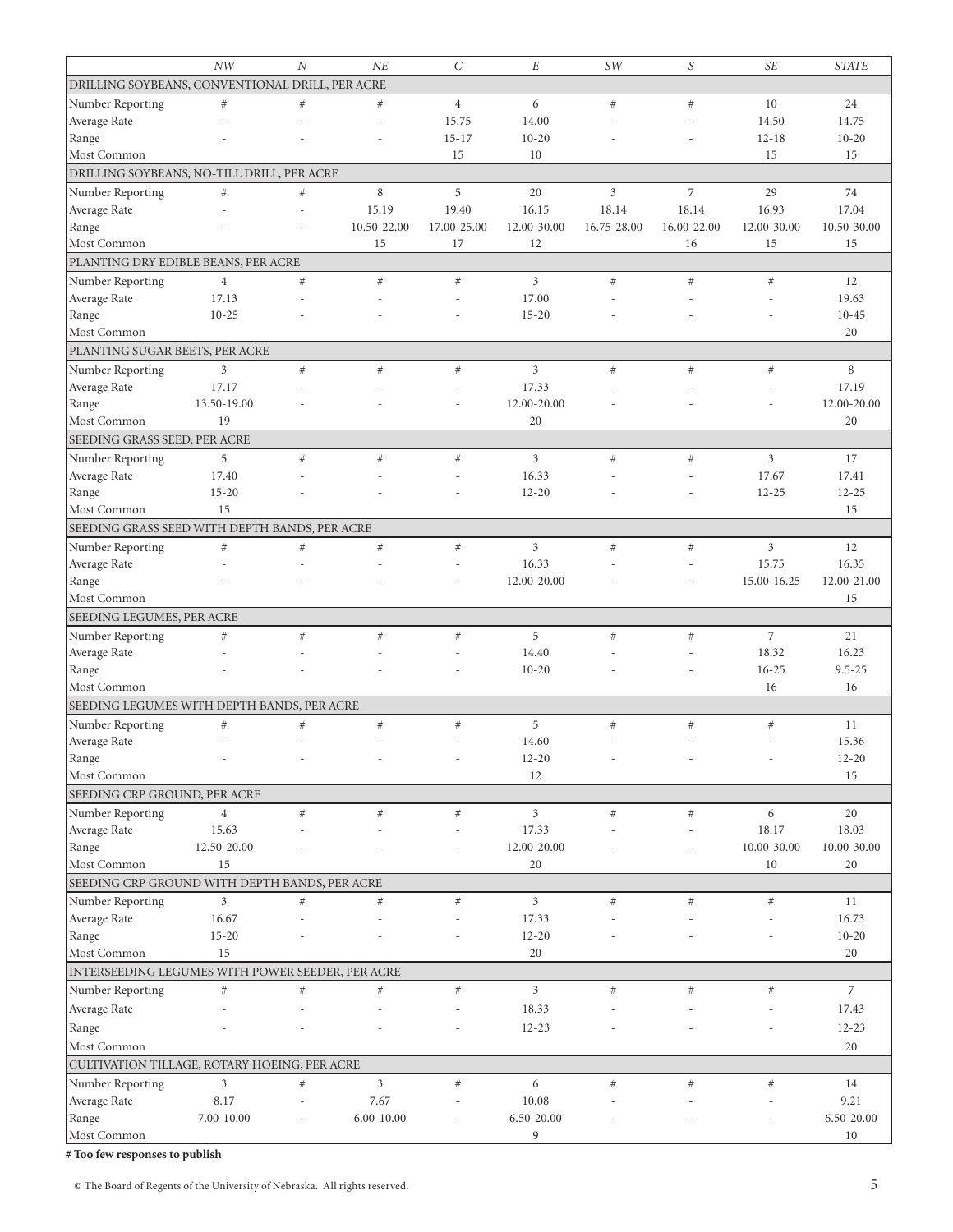|                                                  | NW                | $\boldsymbol{N}$ | NE             | $\cal C$       | $\cal E$       | SW             | S              | <b>SE</b>      | <b>STATE</b>   |
|--------------------------------------------------|-------------------|------------------|----------------|----------------|----------------|----------------|----------------|----------------|----------------|
| DRILLING SOYBEANS, CONVENTIONAL DRILL, PER ACRE  |                   |                  |                |                |                |                |                |                |                |
| Number Reporting                                 | $\#$              | #                | $\#$           | $\overline{4}$ | 6              | #              | #              | 10             | 24             |
| Average Rate                                     |                   |                  |                | 15.75          | 14.00          |                |                | 14.50          | 14.75          |
| Range                                            |                   |                  |                | $15 - 17$      | $10 - 20$      |                |                | $12 - 18$      | $10 - 20$      |
| Most Common                                      |                   |                  |                | 15             | 10             |                |                | 15             | 15             |
| DRILLING SOYBEANS, NO-TILL DRILL, PER ACRE       |                   |                  |                |                |                |                |                |                |                |
| Number Reporting                                 | #                 | $\#$             | $\,8\,$        | 5              | 20             | $\mathfrak{Z}$ | $\overline{7}$ | 29             | 74             |
| Average Rate                                     |                   |                  | 15.19          | 19.40          | 16.15          | 18.14          | 18.14          | 16.93          | 17.04          |
| Range                                            |                   |                  | 10.50-22.00    | 17.00-25.00    | 12.00-30.00    | 16.75-28.00    | 16.00-22.00    | 12.00-30.00    | 10.50-30.00    |
| Most Common                                      |                   |                  | 15             | 17             | 12             |                | 16             | 15             | 15             |
| PLANTING DRY EDIBLE BEANS, PER ACRE              |                   |                  |                |                |                |                |                |                |                |
| Number Reporting                                 | $\overline{4}$    | $\#$             | $\#$           | $\#$           | 3              | #              | $#$            | $\#$           | 12             |
| Average Rate                                     | 17.13             |                  |                |                | 17.00          |                |                |                | 19.63          |
| Range                                            | $10 - 25$         |                  |                |                | $15 - 20$      |                |                |                | $10 - 45$      |
| Most Common                                      |                   |                  |                |                |                |                |                |                | 20             |
| PLANTING SUGAR BEETS, PER ACRE                   |                   |                  |                |                |                |                |                |                |                |
|                                                  | 3                 | #                |                | $\#$           | 3              | #              | $#$            | $\#$           | 8              |
| Number Reporting<br>Average Rate                 |                   |                  | $\#$           |                | 17.33          |                |                |                | 17.19          |
|                                                  | 17.17             |                  |                |                |                |                |                |                |                |
| Range                                            | 13.50-19.00<br>19 |                  |                |                | 12.00-20.00    |                |                |                | 12.00-20.00    |
| Most Common                                      |                   |                  |                |                | 20             |                |                |                | 20             |
| SEEDING GRASS SEED, PER ACRE                     |                   |                  |                |                |                |                |                |                |                |
| Number Reporting                                 | 5                 | #                | #              | #              | $\overline{3}$ | #              | #              | $\overline{3}$ | 17             |
| Average Rate                                     | 17.40             |                  |                |                | 16.33          |                |                | 17.67          | 17.41          |
| Range                                            | $15 - 20$         |                  |                |                | $12 - 20$      |                |                | $12 - 25$      | $12 - 25$      |
| Most Common                                      | 15                |                  |                |                |                |                |                |                | 15             |
| SEEDING GRASS SEED WITH DEPTH BANDS, PER ACRE    |                   |                  |                |                |                |                |                |                |                |
| Number Reporting                                 | $\#$              | #                | $\#$           | $\#$           | 3              | #              | $\#$           | 3              | 12             |
| Average Rate                                     |                   |                  |                |                | 16.33          |                |                | 15.75          | 16.35          |
| Range                                            |                   |                  |                |                | 12.00-20.00    |                |                | 15.00-16.25    | 12.00-21.00    |
| Most Common                                      |                   |                  |                |                |                |                |                |                | 15             |
| SEEDING LEGUMES, PER ACRE                        |                   |                  |                |                |                |                |                |                |                |
| Number Reporting                                 | $\#$              | $\#$             | $\#$           | $\#$           | 5              | #              | $\#$           | $\overline{7}$ | 21             |
| Average Rate                                     |                   |                  |                |                | 14.40          |                |                | 18.32          | 16.23          |
| Range                                            |                   |                  |                |                | $10-20$        |                |                | $16 - 25$      | $9.5 - 25$     |
| Most Common                                      |                   |                  |                |                |                |                |                | 16             | 16             |
| SEEDING LEGUMES WITH DEPTH BANDS, PER ACRE       |                   |                  |                |                |                |                |                |                |                |
| Number Reporting                                 | $\#$              | $\#$             | $\#$           | $\#$           | 5              | $\#$           | $\#$           | $\#$           | 11             |
| Average Rate                                     |                   | $\overline{a}$   |                |                | 14.60          |                |                |                | 15.36          |
| Range                                            |                   |                  |                |                | $12 - 20$      |                |                |                | $12 - 20$      |
| Most Common                                      |                   |                  |                |                | 12             |                |                |                | 15             |
| SEEDING CRP GROUND, PER ACRE                     |                   |                  |                |                |                |                |                |                |                |
| Number Reporting                                 | $\overline{4}$    | $\#$             | $\#$           | $\#$           | 3              | #              | $\#$           | 6              | 20             |
| Average Rate                                     | 15.63             |                  |                |                | 17.33          |                |                | 18.17          | 18.03          |
| Range                                            | 12.50-20.00       |                  |                |                | 12.00-20.00    |                |                | 10.00-30.00    | 10.00-30.00    |
| Most Common                                      | 15                |                  |                |                | 20             |                |                | 10             | 20             |
| SEEDING CRP GROUND WITH DEPTH BANDS, PER ACRE    |                   |                  |                |                |                |                |                |                |                |
| Number Reporting                                 | 3                 | $\#$             | $\#$           | $\#$           | 3              | #              | $\#$           | $\#$           | 11             |
| Average Rate                                     | 16.67             |                  |                |                | 17.33          |                |                |                | 16.73          |
| Range                                            | $15 - 20$         |                  |                |                | $12 - 20$      |                |                |                | $10 - 20$      |
| Most Common                                      | 15                |                  |                |                | 20             |                |                |                | 20             |
| INTERSEEDING LEGUMES WITH POWER SEEDER, PER ACRE |                   |                  |                |                |                |                |                |                |                |
| Number Reporting                                 | $\#$              | #                | $\#$           | $\#$           | 3              | #              | $#$            | $\#$           | $\overline{7}$ |
| Average Rate                                     |                   |                  |                |                | 18.33          |                |                |                | 17.43          |
| Range                                            |                   |                  |                |                | $12 - 23$      |                |                |                | $12 - 23$      |
|                                                  |                   |                  |                |                |                |                |                |                |                |
| Most Common                                      |                   |                  |                |                |                |                |                |                | 20             |
| CULTIVATION TILLAGE, ROTARY HOEING, PER ACRE     |                   |                  |                |                |                |                |                |                |                |
| Number Reporting                                 | 3                 | $\#$             | $\mathfrak{Z}$ | $\#$           | 6              | #              | $#$            | $\#$           | 14             |
| Average Rate                                     | 8.17              |                  | 7.67           |                | 10.08          |                |                |                | 9.21           |
| Range                                            | 7.00-10.00        |                  | $6.00 - 10.00$ |                | 6.50-20.00     |                |                |                | 6.50-20.00     |
| Most Common                                      |                   |                  |                |                | 9              |                |                |                | $10\,$         |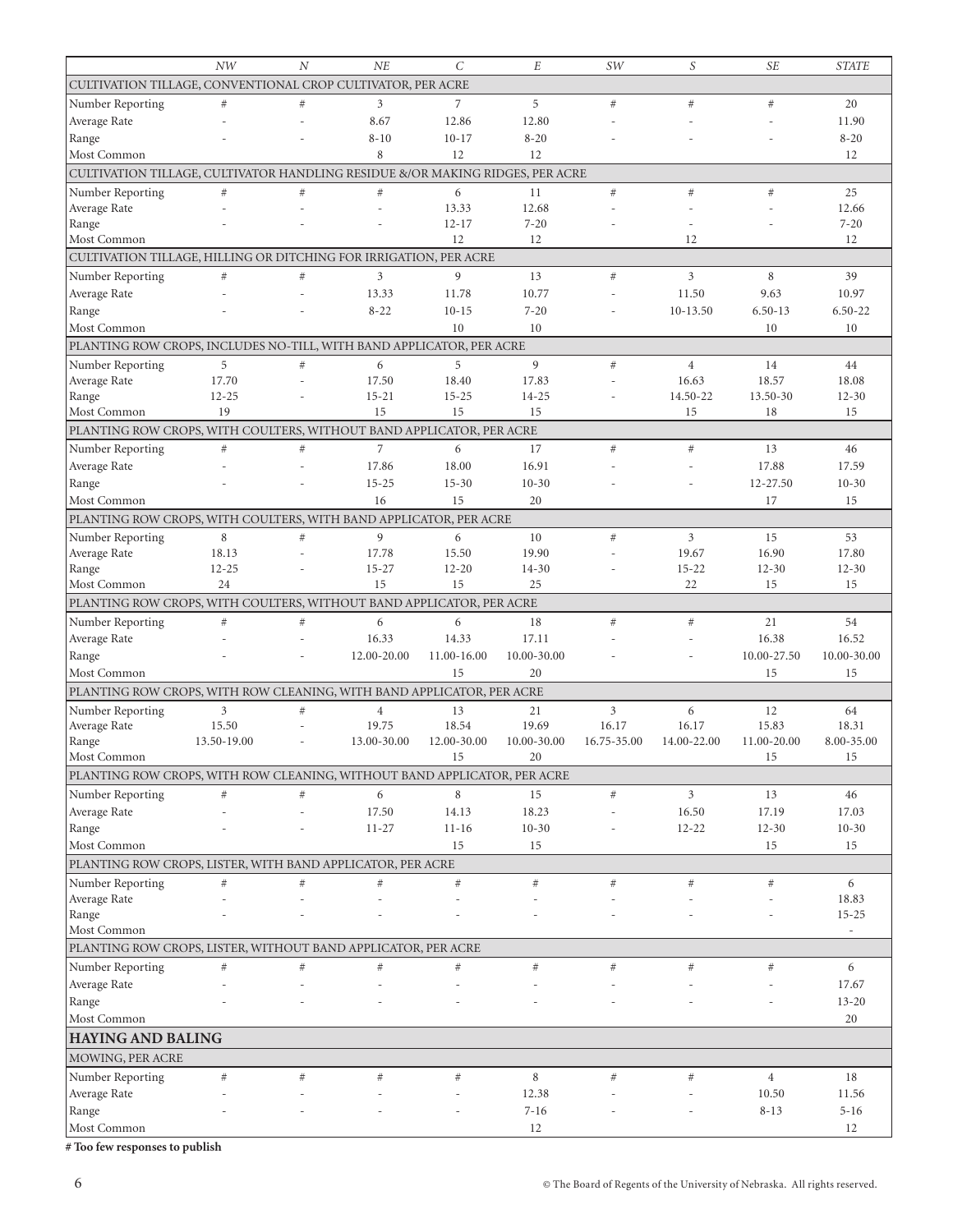|                                                                               | NW                                                          | $\overline{N}$ | NE              | $\mathcal{C}$   | E                 | SW          | S                       | <b>SE</b>         | <b>STATE</b>             |
|-------------------------------------------------------------------------------|-------------------------------------------------------------|----------------|-----------------|-----------------|-------------------|-------------|-------------------------|-------------------|--------------------------|
|                                                                               | CULTIVATION TILLAGE, CONVENTIONAL CROP CULTIVATOR, PER ACRE |                |                 |                 |                   |             |                         |                   |                          |
| Number Reporting                                                              | $\#$                                                        | $\#$           | 3               | 7               | 5                 | $#$         | #                       | #                 | 20                       |
| Average Rate                                                                  |                                                             |                | 8.67            | 12.86           | 12.80             |             |                         |                   | 11.90                    |
| Range                                                                         |                                                             |                | $8 - 10$        | $10 - 17$       | $8 - 20$          |             |                         |                   | $8 - 20$                 |
| Most Common                                                                   |                                                             |                | 8               | 12              | 12                |             |                         |                   | 12                       |
| CULTIVATION TILLAGE, CULTIVATOR HANDLING RESIDUE &/OR MAKING RIDGES, PER ACRE |                                                             |                |                 |                 |                   |             |                         |                   |                          |
| Number Reporting                                                              | $#$                                                         | $\#$           | #               | 6               | 11                | #           | #                       | $\#$              | 25                       |
| Average Rate                                                                  |                                                             |                |                 | 13.33           | 12.68             |             |                         |                   | 12.66                    |
| Range                                                                         |                                                             |                |                 | $12 - 17$       | $7 - 20$          |             |                         |                   | $7 - 20$                 |
| Most Common                                                                   |                                                             |                |                 | 12              | 12                |             | 12                      |                   | 12                       |
| CULTIVATION TILLAGE, HILLING OR DITCHING FOR IRRIGATION, PER ACRE             |                                                             |                |                 |                 |                   |             |                         |                   |                          |
| Number Reporting                                                              | #                                                           | $\#$           | 3               | 9               | 13                | $#$         | $\mathfrak{Z}$          | 8                 | 39                       |
| Average Rate                                                                  |                                                             |                | 13.33           | 11.78           | 10.77             |             | 11.50                   | 9.63              | 10.97                    |
| Range                                                                         |                                                             |                | $8 - 22$        | $10 - 15$       | $7 - 20$          |             | $10-13.50$              | $6.50 - 13$       | $6.50 - 22$              |
| Most Common                                                                   |                                                             |                |                 | 10              | 10                |             |                         | 10                | 10                       |
| PLANTING ROW CROPS, INCLUDES NO-TILL, WITH BAND APPLICATOR, PER ACRE          |                                                             |                |                 |                 |                   |             |                         |                   |                          |
|                                                                               |                                                             |                |                 |                 |                   |             |                         |                   |                          |
| Number Reporting                                                              | 5<br>17.70                                                  | $\#$<br>L.     | 6<br>17.50      | 5<br>18.40      | 9<br>17.83        | #           | $\overline{4}$<br>16.63 | 14<br>18.57       | 44<br>18.08              |
| Average Rate<br>Range                                                         | $12 - 25$                                                   |                | $15 - 21$       | $15 - 25$       | $14 - 25$         |             | 14.50-22                | 13.50-30          | $12 - 30$                |
| Most Common                                                                   | 19                                                          |                | 15              | 15              | 15                |             | 15                      | 18                | 15                       |
| PLANTING ROW CROPS, WITH COULTERS, WITHOUT BAND APPLICATOR, PER ACRE          |                                                             |                |                 |                 |                   |             |                         |                   |                          |
|                                                                               | #                                                           | $\#$           | $\overline{7}$  | 6               | 17                | #           | $\#$                    | 13                | 46                       |
| Number Reporting                                                              |                                                             |                | 17.86           | 18.00           | 16.91             |             |                         | 17.88             | 17.59                    |
| Average Rate                                                                  |                                                             |                |                 |                 |                   |             |                         |                   |                          |
| Range                                                                         |                                                             |                | $15 - 25$       | $15 - 30$       | $10 - 30$         |             |                         | 12-27.50          | $10 - 30$                |
| Most Common                                                                   |                                                             |                | 16              | 15              | 20                |             |                         | 17                | 15                       |
| PLANTING ROW CROPS, WITH COULTERS, WITH BAND APPLICATOR, PER ACRE             |                                                             |                |                 |                 |                   |             |                         |                   |                          |
| Number Reporting                                                              | 8                                                           | #              | 9               | 6               | 10                | $#$         | $\mathfrak{Z}$          | 15                | 53                       |
| Average Rate                                                                  | 18.13                                                       |                | 17.78           | 15.50           | 19.90             |             | 19.67                   | 16.90             | 17.80                    |
| Range<br>Most Common                                                          | $12 - 25$<br>24                                             |                | $15 - 27$<br>15 | $12 - 20$<br>15 | 14-30<br>25       |             | $15 - 22$<br>22         | $12 - 30$<br>15   | $12 - 30$<br>15          |
|                                                                               |                                                             |                |                 |                 |                   |             |                         |                   |                          |
| PLANTING ROW CROPS, WITH COULTERS, WITHOUT BAND APPLICATOR, PER ACRE          |                                                             |                |                 |                 |                   |             |                         |                   |                          |
| Number Reporting                                                              | #                                                           | $\#$           | 6               | 6               | 18                | $#$         | #                       | 21                | 54                       |
| Average Rate                                                                  |                                                             |                | 16.33           | 14.33           | 17.11             |             |                         | 16.38             | 16.52                    |
| Range                                                                         |                                                             |                | 12.00-20.00     | 11.00-16.00     | 10.00-30.00       |             |                         | 10.00-27.50       | 10.00-30.00              |
| Most Common                                                                   |                                                             |                |                 | 15              | 20                |             |                         | 15                | 15                       |
| PLANTING ROW CROPS, WITH ROW CLEANING, WITH BAND APPLICATOR, PER ACRE         |                                                             |                |                 |                 |                   |             |                         |                   |                          |
| Number Reporting                                                              | 3                                                           | $\#$           | $\overline{4}$  | 13              | 21                | 3           | 6                       | 12                | 64                       |
| Average Rate                                                                  | 15.50                                                       |                |                 | 18.54           | 19.69             |             | 16.17                   |                   |                          |
| Range                                                                         |                                                             |                | 19.75           |                 |                   | 16.17       |                         | 15.83             | 18.31                    |
|                                                                               | 13.50-19.00                                                 |                | 13.00-30.00     | 12.00-30.00     | 10.00-30.00       | 16.75-35.00 | 14.00-22.00             | 11.00-20.00       | 8.00-35.00               |
| Most Common                                                                   |                                                             |                |                 | 15              | 20                |             |                         | 15                | 15                       |
| PLANTING ROW CROPS, WITH ROW CLEANING, WITHOUT BAND APPLICATOR, PER ACRE      |                                                             |                |                 |                 |                   |             |                         |                   |                          |
| Number Reporting                                                              | $\#$                                                        | $\#$           | 6               | 8               | 15                | $\#$        | $\mathfrak{Z}$          | 13                | 46                       |
| Average Rate                                                                  |                                                             |                | 17.50           | 14.13           | 18.23             |             | 16.50                   | 17.19             | 17.03                    |
| Range                                                                         |                                                             |                | $11 - 27$       | $11 - 16$       | $10 - 30$         |             | $12 - 22$               | $12 - 30$         | $10-30$                  |
| Most Common                                                                   |                                                             |                |                 | 15              | 15                |             |                         | 15                | 15                       |
| PLANTING ROW CROPS, LISTER, WITH BAND APPLICATOR, PER ACRE                    |                                                             |                |                 |                 |                   |             |                         |                   |                          |
| Number Reporting                                                              | $\#$                                                        | $\#$           | $\#$            | #               | $\#$              | #           | $\#$                    | $\#$              | 6                        |
| Average Rate                                                                  |                                                             | L,             |                 |                 |                   |             |                         |                   | 18.83                    |
| Range                                                                         |                                                             |                |                 |                 |                   |             |                         |                   | $15 - 25$                |
| Most Common                                                                   |                                                             |                |                 |                 |                   |             |                         |                   | $\overline{\phantom{a}}$ |
| PLANTING ROW CROPS, LISTER, WITHOUT BAND APPLICATOR, PER ACRE                 |                                                             |                |                 |                 |                   |             |                         |                   |                          |
| Number Reporting                                                              | $\#$                                                        | $\#$           | $\#$            | #               | $\#$              | $\#$        | $\#$                    | $\#$              | 6                        |
| Average Rate                                                                  |                                                             |                |                 |                 |                   |             |                         |                   | 17.67                    |
| Range                                                                         |                                                             |                |                 |                 |                   |             |                         |                   | $13 - 20$                |
| Most Common                                                                   |                                                             |                |                 |                 |                   |             |                         |                   | 20                       |
| <b>HAYING AND BALING</b>                                                      |                                                             |                |                 |                 |                   |             |                         |                   |                          |
| MOWING, PER ACRE                                                              |                                                             |                |                 |                 |                   |             |                         |                   |                          |
|                                                                               |                                                             |                |                 |                 |                   |             |                         |                   |                          |
| Number Reporting                                                              | $\#$                                                        | $\#$           | $\#$            | $\#$            | 8                 | $\#$        | $\#$                    | $\overline{4}$    | 18                       |
| Average Rate<br>Range                                                         |                                                             |                |                 |                 | 12.38<br>$7 - 16$ |             |                         | 10.50<br>$8 - 13$ | 11.56<br>$5 - 16$        |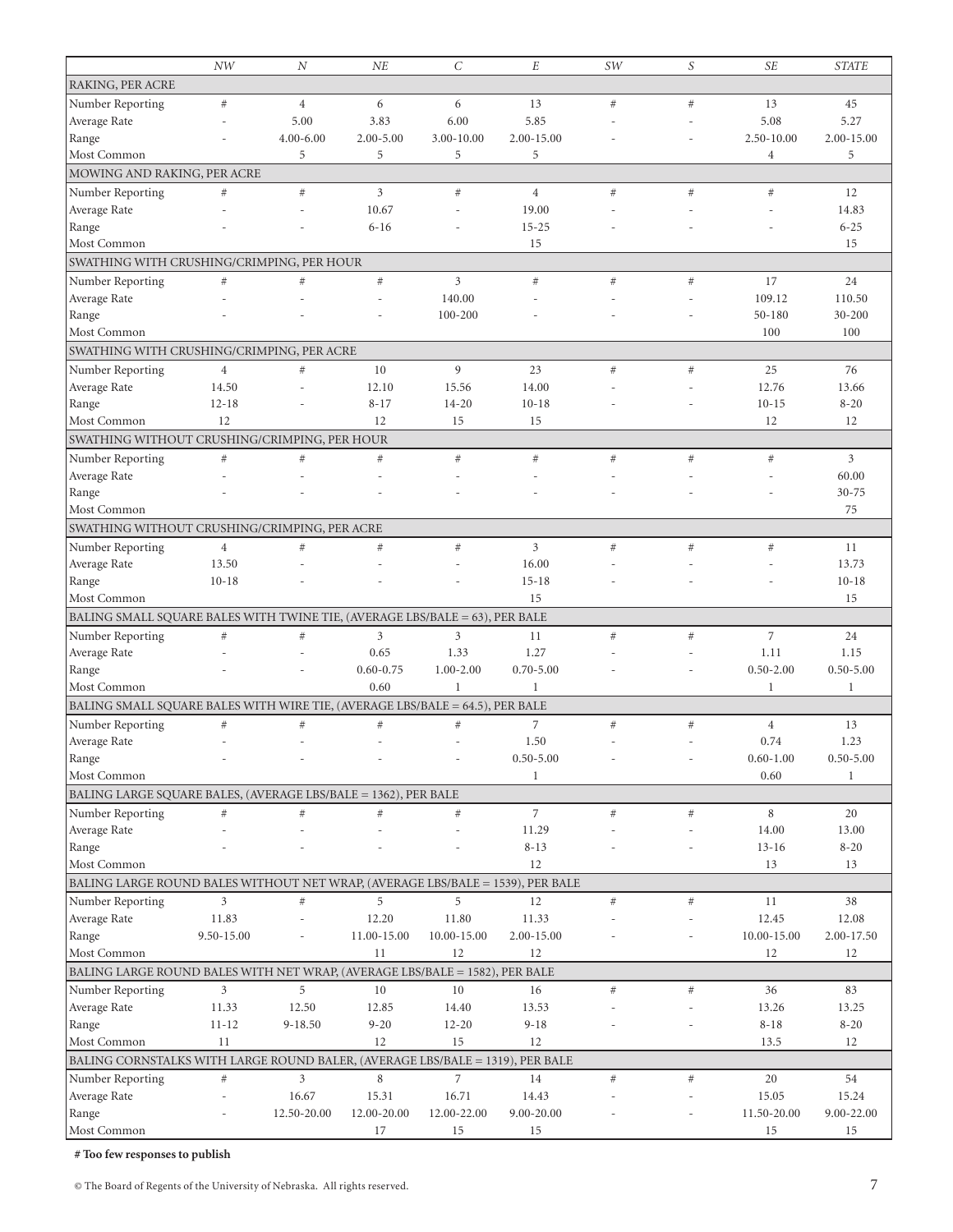|                                                                                | NW             | N              | NE             | $\mathcal{C}_{0}^{2}$    | E               | SW   | S    | <b>SE</b>      | <b>STATE</b>    |
|--------------------------------------------------------------------------------|----------------|----------------|----------------|--------------------------|-----------------|------|------|----------------|-----------------|
| RAKING, PER ACRE                                                               |                |                |                |                          |                 |      |      |                |                 |
| Number Reporting                                                               | $\#$           | $\overline{4}$ | 6              | 6                        | 13              | #    | #    | 13             | 45              |
| Average Rate                                                                   |                | 5.00           | 3.83           | 6.00                     | 5.85            |      |      | 5.08           | 5.27            |
| Range                                                                          |                | $4.00 - 6.00$  | $2.00 - 5.00$  | 3.00-10.00               | 2.00-15.00      |      |      | 2.50-10.00     | 2.00-15.00      |
| Most Common                                                                    |                | 5              | 5              | 5                        | 5               |      |      | $\overline{4}$ | 5               |
| MOWING AND RAKING, PER ACRE                                                    |                |                |                |                          |                 |      |      |                |                 |
| Number Reporting                                                               | $\#$           | #              | 3              | $\#$                     | $\overline{4}$  | #    | $#$  | $\#$           | 12              |
| Average Rate                                                                   |                |                | 10.67          |                          | 19.00           |      |      |                | 14.83           |
| Range                                                                          |                |                | $6 - 16$       |                          | $15 - 25$       |      |      |                | $6 - 25$        |
| Most Common                                                                    |                |                |                |                          | 15              |      |      |                | 15              |
| SWATHING WITH CRUSHING/CRIMPING, PER HOUR                                      |                |                |                |                          |                 |      |      |                |                 |
| Number Reporting                                                               | $\#$           | $\#$           | $\#$           | 3                        | #               | #    | $\#$ | 17             | 24              |
| Average Rate                                                                   |                |                |                | 140.00                   |                 |      |      | 109.12         | 110.50          |
| Range                                                                          |                |                |                | 100-200                  |                 |      |      | $50 - 180$     | 30-200          |
| Most Common                                                                    |                |                |                |                          |                 |      |      | 100            | 100             |
| SWATHING WITH CRUSHING/CRIMPING, PER ACRE                                      |                |                |                |                          |                 |      |      |                |                 |
| Number Reporting                                                               | $\overline{4}$ | #              | 10             | 9                        | 23              | #    | $#$  | 25             | 76              |
| Average Rate                                                                   | 14.50          |                | 12.10          | 15.56                    | 14.00           |      |      | 12.76          | 13.66           |
| Range                                                                          | $12 - 18$      |                | $8 - 17$       | $14 - 20$                | $10 - 18$       |      |      | $10 - 15$      | $8 - 20$        |
| Most Common                                                                    | 12             |                | 12             | 15                       | 15              |      |      | 12             | 12              |
| SWATHING WITHOUT CRUSHING/CRIMPING, PER HOUR                                   |                |                |                |                          |                 |      |      |                |                 |
|                                                                                |                | #              |                | $\#$                     | #               | #    | #    | $\#$           | $\overline{3}$  |
| Number Reporting                                                               | $\#$           |                | $\#$           |                          |                 |      |      |                | 60.00           |
| Average Rate                                                                   |                |                |                |                          |                 |      |      |                |                 |
| Range<br>Most Common                                                           |                |                |                |                          |                 |      |      |                | $30 - 75$<br>75 |
|                                                                                |                |                |                |                          |                 |      |      |                |                 |
| SWATHING WITHOUT CRUSHING/CRIMPING, PER ACRE                                   |                |                |                |                          |                 |      |      |                |                 |
| Number Reporting                                                               | $\overline{4}$ | $\#$           | $\#$           | #                        | 3               | #    | #    | $\#$           | 11              |
| Average Rate                                                                   | 13.50          |                |                |                          | 16.00           |      |      |                | 13.73           |
| Range                                                                          | $10 - 18$      |                |                |                          | $15 - 18$<br>15 |      |      |                | $10 - 18$<br>15 |
| Most Common                                                                    |                |                |                |                          |                 |      |      |                |                 |
| BALING SMALL SQUARE BALES WITH TWINE TIE, (AVERAGE LBS/BALE = 63), PER BALE    |                |                |                |                          |                 |      |      |                |                 |
| Number Reporting                                                               | $\#$           | $\#$           | $\mathfrak{Z}$ | 3                        | 11              | #    | $#$  | 7              | 24              |
| Average Rate                                                                   |                |                | 0.65           | 1.33                     | 1.27            |      |      | 1.11           | 1.15            |
| Range                                                                          |                |                | $0.60 - 0.75$  | $1.00 - 2.00$            | $0.70 - 5.00$   |      |      | $0.50 - 2.00$  | $0.50 - 5.00$   |
| Most Common                                                                    |                |                | 0.60           | $\mathbf{1}$             | $\mathbf{1}$    |      |      | 1              | $\mathbf{1}$    |
| BALING SMALL SQUARE BALES WITH WIRE TIE, (AVERAGE LBS/BALE = 64.5), PER BALE   |                |                |                |                          |                 |      |      |                |                 |
| Number Reporting                                                               | $\#$           | $\#$           | $\#$           | $\#$                     | 7               | $\#$ | $\#$ | $\overline{4}$ | 13              |
| Average Rate                                                                   |                |                |                |                          | 1.50            |      |      | 0.74           | 1.23            |
| Range                                                                          |                |                |                | $\overline{\phantom{0}}$ | $0.50 - 5.00$   |      |      | $0.60 - 1.00$  | $0.50 - 5.00$   |
| Most Common                                                                    |                |                |                |                          | $\mathbf 1$     |      |      | 0.60           | $\mathbf{1}$    |
| BALING LARGE SQUARE BALES, (AVERAGE LBS/BALE = 1362), PER BALE                 |                |                |                |                          |                 |      |      |                |                 |
| Number Reporting                                                               | $\#$           | $\#$           | $\#$           | $\#$                     | $\overline{7}$  | #    | $#$  | 8              | 20              |
| Average Rate                                                                   |                |                |                |                          | 11.29           |      |      | 14.00          | 13.00           |
| Range                                                                          |                |                |                |                          | $8 - 13$        |      |      | $13 - 16$      | $8 - 20$        |
| Most Common                                                                    |                |                |                |                          | 12              |      |      | 13             | 13              |
| BALING LARGE ROUND BALES WITHOUT NET WRAP, (AVERAGE LBS/BALE = 1539), PER BALE |                |                |                |                          |                 |      |      |                |                 |
| Number Reporting                                                               | 3              | $\#$           | 5              | 5                        | 12              | #    | $#$  | 11             | 38              |
| Average Rate                                                                   | 11.83          |                | 12.20          | 11.80                    | 11.33           |      |      | 12.45          | 12.08           |
| Range                                                                          | 9.50-15.00     |                | 11.00-15.00    | 10.00-15.00              | 2.00-15.00      |      |      | 10.00-15.00    | 2.00-17.50      |
| Most Common                                                                    |                |                | 11             | 12                       | 12              |      |      | 12             | 12              |
| BALING LARGE ROUND BALES WITH NET WRAP, (AVERAGE LBS/BALE = 1582), PER BALE    |                |                |                |                          |                 |      |      |                |                 |
| Number Reporting                                                               | 3              | 5              | 10             | 10                       | 16              | #    | $#$  | 36             | 83              |
| Average Rate                                                                   | 11.33          | 12.50          | 12.85          | 14.40                    | 13.53           |      |      | 13.26          | 13.25           |
| Range                                                                          | $11 - 12$      | 9-18.50        | $9 - 20$       | $12 - 20$                | $9 - 18$        |      |      | $8 - 18$       | $8 - 20$        |
| Most Common                                                                    | 11             |                | 12             | 15                       | 12              |      |      | 13.5           | 12              |
| BALING CORNSTALKS WITH LARGE ROUND BALER, (AVERAGE LBS/BALE = 1319), PER BALE  |                |                |                |                          |                 |      |      |                |                 |
| Number Reporting                                                               | $\#$           | 3              | 8              | $\overline{7}$           | 14              | $\#$ | $\#$ | 20             | 54              |
| Average Rate                                                                   |                | 16.67          | 15.31          | 16.71                    | 14.43           |      |      | 15.05          | 15.24           |
| Range                                                                          |                | 12.50-20.00    | 12.00-20.00    | 12.00-22.00              | 9.00-20.00      |      |      | 11.50-20.00    | 9.00-22.00      |
| Most Common                                                                    |                |                | 17             | 15                       | 15              |      |      | 15             | 15              |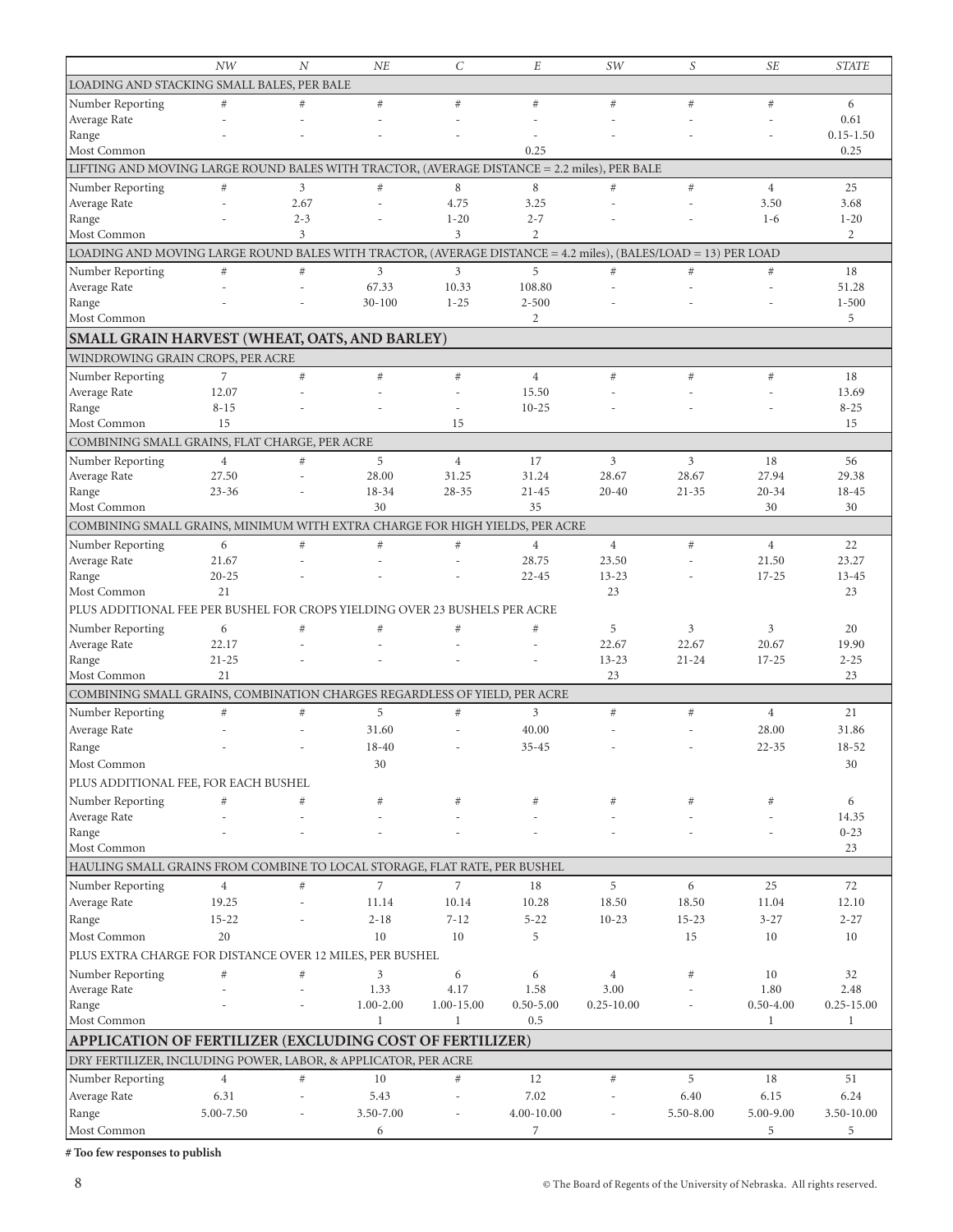|                                                                                                               | NW             | $\boldsymbol{N}$ | NE             | $\mathcal{C}$  | E              | SW                       | S         | <b>SE</b>      | <b>STATE</b>   |
|---------------------------------------------------------------------------------------------------------------|----------------|------------------|----------------|----------------|----------------|--------------------------|-----------|----------------|----------------|
| LOADING AND STACKING SMALL BALES, PER BALE                                                                    |                |                  |                |                |                |                          |           |                |                |
| Number Reporting                                                                                              | $#$            | #                | #              | #              | $\#$           | #                        | #         | #              | 6              |
| Average Rate                                                                                                  |                |                  |                |                |                |                          |           |                | 0.61           |
| Range                                                                                                         |                |                  |                |                |                |                          |           |                | $0.15 - 1.50$  |
| Most Common                                                                                                   |                |                  |                |                | 0.25           |                          |           |                | 0.25           |
| LIFTING AND MOVING LARGE ROUND BALES WITH TRACTOR, (AVERAGE DISTANCE = 2.2 miles), PER BALE                   |                |                  |                |                |                |                          |           |                |                |
| Number Reporting                                                                                              | $\#$           | 3                | $\#$           | 8              | 8              | $#$                      | #         | $\overline{4}$ | 25             |
| Average Rate                                                                                                  |                | 2.67             | $\overline{a}$ | 4.75           | 3.25           | $\overline{\phantom{a}}$ |           | 3.50           | 3.68           |
| Range                                                                                                         |                | $2 - 3$          |                | $1 - 20$       | $2 - 7$        |                          |           | $1-6$          | $1 - 20$       |
| Most Common                                                                                                   |                | 3                |                | 3              | $\overline{2}$ |                          |           |                | 2              |
| LOADING AND MOVING LARGE ROUND BALES WITH TRACTOR, (AVERAGE DISTANCE = 4.2 miles), (BALES/LOAD = 13) PER LOAD |                |                  |                |                |                |                          |           |                |                |
| Number Reporting                                                                                              | $\#$           | $\#$             | 3              | 3              | 5              | #                        | $#$       | #              | 18             |
| Average Rate                                                                                                  |                |                  | 67.33          | 10.33          | 108.80         |                          |           |                | 51.28          |
| Range                                                                                                         |                |                  | $30 - 100$     | $1 - 25$       | $2 - 500$      |                          |           |                | $1 - 500$      |
| Most Common                                                                                                   |                |                  |                |                | 2              |                          |           |                | 5              |
| SMALL GRAIN HARVEST (WHEAT, OATS, AND BARLEY)                                                                 |                |                  |                |                |                |                          |           |                |                |
| WINDROWING GRAIN CROPS, PER ACRE                                                                              |                |                  |                |                |                |                          |           |                |                |
| Number Reporting                                                                                              | 7              | $\#$             | #              | $\#$           | $\overline{4}$ | #                        | $\#$      | $\#$           | 18             |
| Average Rate                                                                                                  | 12.07          |                  |                |                | 15.50          |                          |           |                | 13.69          |
| Range                                                                                                         | $8 - 15$       |                  |                | $\overline{a}$ | $10 - 25$      |                          |           |                | $8 - 25$       |
| Most Common                                                                                                   | 15             |                  |                | 15             |                |                          |           |                | 15             |
| COMBINING SMALL GRAINS, FLAT CHARGE, PER ACRE                                                                 |                |                  |                |                |                |                          |           |                |                |
| Number Reporting                                                                                              | $\overline{4}$ | #                | 5              | $\overline{4}$ | 17             | 3                        | 3         | 18             | 56             |
| Average Rate                                                                                                  | 27.50          |                  | 28.00          | 31.25          | 31.24          | 28.67                    | 28.67     | 27.94          | 29.38          |
| Range                                                                                                         | $23 - 36$      |                  | 18-34          | $28 - 35$      | $21 - 45$      | $20 - 40$                | $21 - 35$ | $20 - 34$      | 18-45          |
| Most Common                                                                                                   |                |                  | 30             |                | 35             |                          |           | 30             | 30             |
| COMBINING SMALL GRAINS, MINIMUM WITH EXTRA CHARGE FOR HIGH YIELDS, PER ACRE                                   |                |                  |                |                |                |                          |           |                |                |
| Number Reporting                                                                                              | 6              | $\#$             | $\#$           | $\#$           | $\overline{4}$ | $\overline{4}$           | $\#$      | $\overline{4}$ | 22             |
| Average Rate                                                                                                  | 21.67          |                  |                |                | 28.75          | 23.50                    |           | 21.50          | 23.27          |
| Range                                                                                                         | $20 - 25$      |                  |                |                | $22 - 45$      | $13 - 23$                |           | $17 - 25$      | $13 - 45$      |
| Most Common                                                                                                   | 21             |                  |                |                |                | 23                       |           |                | 23             |
| PLUS ADDITIONAL FEE PER BUSHEL FOR CROPS YIELDING OVER 23 BUSHELS PER ACRE                                    |                |                  |                |                |                |                          |           |                |                |
| Number Reporting                                                                                              | 6              | $\#$             | $\#$           | $\#$           | $\#$           | 5                        | 3         | 3              | 20             |
| Average Rate                                                                                                  | 22.17          |                  |                |                |                | 22.67                    | 22.67     | 20.67          | 19.90          |
| Range                                                                                                         | $21 - 25$      |                  |                |                |                | $13 - 23$                | $21 - 24$ | $17 - 25$      | $2 - 25$       |
| Most Common                                                                                                   | 21             |                  |                |                |                | 23                       |           |                | 23             |
| COMBINING SMALL GRAINS, COMBINATION CHARGES REGARDLESS OF YIELD, PER ACRE                                     |                |                  |                |                |                |                          |           |                |                |
| Number Reporting                                                                                              | #              | $\#$             | 5              | $\#$           | 3              | $#$                      | #         | $\overline{4}$ | 21             |
| Average Rate                                                                                                  |                |                  | 31.60          |                | 40.00          |                          |           | 28.00          | 31.86          |
| Range                                                                                                         |                |                  | $18 - 40$      |                | $35 - 45$      |                          |           | $22 - 35$      | $18 - 52$      |
| Most Common                                                                                                   |                |                  | 30             |                |                |                          |           |                | 30             |
| PLUS ADDITIONAL FEE, FOR EACH BUSHEL                                                                          |                |                  |                |                |                |                          |           |                |                |
| Number Reporting                                                                                              | #              | $\#$             | #              | #              | #              | #                        | #         | $\#$           | 6              |
| Average Rate                                                                                                  |                |                  |                |                |                |                          |           |                | 14.35          |
| Range                                                                                                         |                |                  |                |                |                |                          |           |                | $0 - 23$       |
| Most Common                                                                                                   |                |                  |                |                |                |                          |           |                | 23             |
| HAULING SMALL GRAINS FROM COMBINE TO LOCAL STORAGE, FLAT RATE, PER BUSHEL                                     |                |                  |                |                |                |                          |           |                |                |
| Number Reporting                                                                                              | $\overline{4}$ | $\#$             | $\overline{7}$ | 7              | 18             | 5                        | 6         | 25             | 72             |
| Average Rate                                                                                                  | 19.25          |                  | 11.14          | 10.14          | 10.28          | 18.50                    | 18.50     | 11.04          | 12.10          |
| Range                                                                                                         | $15 - 22$      |                  | $2 - 18$       | $7 - 12$       | $5 - 22$       | $10 - 23$                | $15 - 23$ | $3 - 27$       | $2 - 27$       |
| Most Common                                                                                                   | 20             |                  | 10             | 10             | 5              |                          | 15        | 10             | 10             |
| PLUS EXTRA CHARGE FOR DISTANCE OVER 12 MILES, PER BUSHEL                                                      |                |                  |                |                |                |                          |           |                |                |
| Number Reporting                                                                                              | $\#$           | $\#$             | 3              | 6              | 6              | 4                        | #         | 10             | 32             |
| Average Rate                                                                                                  |                |                  | 1.33           | 4.17           | 1.58           | 3.00                     |           | 1.80           | 2.48           |
| Range                                                                                                         |                |                  | $1.00 - 2.00$  | 1.00-15.00     | $0.50 - 5.00$  | $0.25 - 10.00$           |           | $0.50 - 4.00$  | $0.25 - 15.00$ |
| Most Common                                                                                                   |                |                  | 1              | $\mathbf{1}$   | 0.5            |                          |           | 1              | $\mathbf{1}$   |
| APPLICATION OF FERTILIZER (EXCLUDING COST OF FERTILIZER)                                                      |                |                  |                |                |                |                          |           |                |                |
| DRY FERTILIZER, INCLUDING POWER, LABOR, & APPLICATOR, PER ACRE                                                |                |                  |                |                |                |                          |           |                |                |
| Number Reporting                                                                                              | $\overline{4}$ | $\#$             | 10             | #              | 12             | $\#$                     | 5         | 18             | 51             |
| Average Rate                                                                                                  | 6.31           |                  | 5.43           |                | 7.02           |                          | 6.40      | 6.15           | 6.24           |
| Range                                                                                                         | 5.00-7.50      |                  | 3.50-7.00      |                | 4.00-10.00     |                          | 5.50-8.00 | 5.00-9.00      | 3.50-10.00     |
| Most Common                                                                                                   |                |                  | 6              |                | 7              |                          |           | 5              | 5              |
|                                                                                                               |                |                  |                |                |                |                          |           |                |                |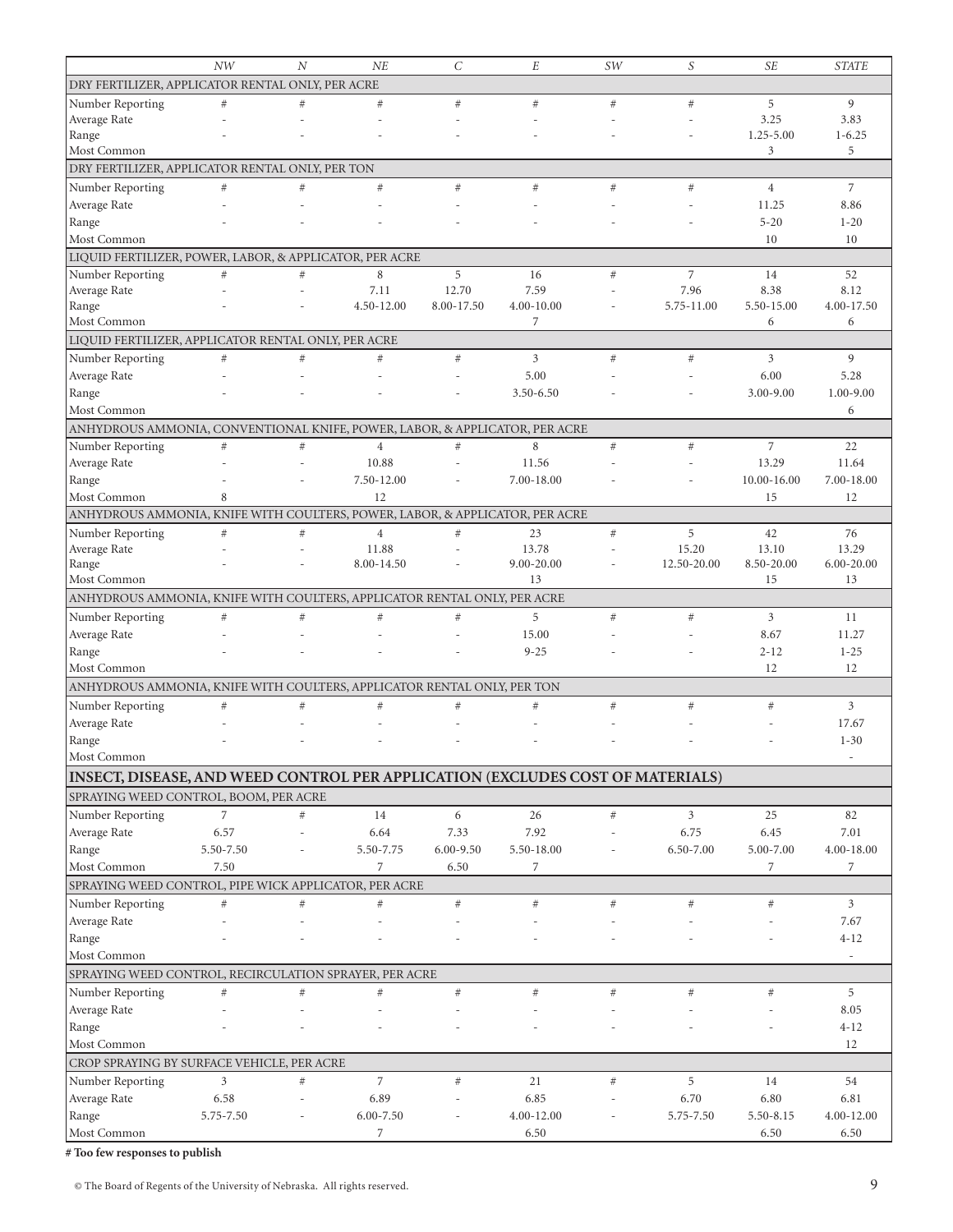|                                                                              | <b>NW</b> | $\overline{N}$ | NE                                                                             | $\mathcal{C}_{0}^{2}$ | E                  | SW   | S           | <b>SE</b>         | <b>STATE</b>             |
|------------------------------------------------------------------------------|-----------|----------------|--------------------------------------------------------------------------------|-----------------------|--------------------|------|-------------|-------------------|--------------------------|
| DRY FERTILIZER, APPLICATOR RENTAL ONLY, PER ACRE                             |           |                |                                                                                |                       |                    |      |             |                   |                          |
| Number Reporting                                                             | $\#$      | #              | $#$                                                                            | $\#$                  | #                  | $#$  | #           | 5                 | 9                        |
| Average Rate                                                                 |           |                |                                                                                |                       |                    |      |             | 3.25              | 3.83                     |
| Range                                                                        |           |                |                                                                                |                       |                    |      |             | $1.25 - 5.00$     | $1 - 6.25$               |
| Most Common                                                                  |           |                |                                                                                |                       |                    |      |             | 3                 | 5                        |
| DRY FERTILIZER, APPLICATOR RENTAL ONLY, PER TON                              |           |                |                                                                                |                       |                    |      |             |                   |                          |
| Number Reporting                                                             | $\#$      | #              | $#$                                                                            | $\#$                  | #                  | $#$  | #           | $\overline{4}$    | $\overline{7}$           |
| Average Rate                                                                 |           |                |                                                                                |                       |                    |      |             | 11.25             | 8.86                     |
| Range                                                                        |           |                |                                                                                |                       |                    |      |             | $5 - 20$          | $1 - 20$                 |
| Most Common                                                                  |           |                |                                                                                |                       |                    |      |             | 10                | 10                       |
| LIQUID FERTILIZER, POWER, LABOR, & APPLICATOR, PER ACRE                      |           |                |                                                                                |                       |                    |      |             |                   |                          |
| Number Reporting                                                             | $#$       | #              | 8                                                                              | 5                     | 16                 | #    | 7           | 14                | 52                       |
| Average Rate                                                                 |           | L,             | 7.11                                                                           | 12.70                 | 7.59               |      | 7.96        | 8.38              | 8.12                     |
| Range                                                                        |           |                | 4.50-12.00                                                                     | 8.00-17.50            | 4.00-10.00         |      | 5.75-11.00  | 5.50-15.00        | 4.00-17.50               |
| Most Common                                                                  |           |                |                                                                                |                       | 7                  |      |             | 6                 | 6                        |
| LIQUID FERTILIZER, APPLICATOR RENTAL ONLY, PER ACRE                          |           |                |                                                                                |                       |                    |      |             |                   |                          |
| Number Reporting                                                             | $\#$      | #              | $#$                                                                            | $\#$                  | 3                  | $#$  | $\#$        | 3                 | 9                        |
|                                                                              |           |                |                                                                                |                       |                    |      |             |                   |                          |
| Average Rate                                                                 |           |                |                                                                                |                       | 5.00               |      |             | 6.00              | 5.28                     |
| Range                                                                        |           |                |                                                                                |                       | 3.50-6.50          |      |             | 3.00-9.00         | $1.00 - 9.00$            |
| Most Common                                                                  |           |                |                                                                                |                       |                    |      |             |                   | 6                        |
| ANHYDROUS AMMONIA, CONVENTIONAL KNIFE, POWER, LABOR, & APPLICATOR, PER ACRE  |           |                |                                                                                |                       |                    |      |             |                   |                          |
| Number Reporting                                                             | $\#$      | $\#$           | $\overline{4}$                                                                 | $\#$                  | 8                  | $#$  | $\#$        | $\overline{7}$    | 22                       |
| Average Rate                                                                 |           |                | 10.88                                                                          |                       | 11.56              |      |             | 13.29             | 11.64                    |
| Range                                                                        |           |                | 7.50-12.00                                                                     |                       | 7.00-18.00         |      |             | 10.00-16.00       | 7.00-18.00               |
| Most Common                                                                  | 8         |                | 12                                                                             |                       |                    |      |             | 15                | 12                       |
| ANHYDROUS AMMONIA, KNIFE WITH COULTERS, POWER, LABOR, & APPLICATOR, PER ACRE |           |                |                                                                                |                       |                    |      |             |                   |                          |
| Number Reporting                                                             | $\#$      | $\#$           | $\overline{4}$                                                                 | #                     | 23                 | $\#$ | 5           | 42                | 76                       |
| Average Rate                                                                 |           |                | 11.88                                                                          |                       | 13.78              |      | 15.20       | 13.10             | 13.29                    |
| Range                                                                        |           |                | 8.00-14.50                                                                     |                       | 9.00-20.00         |      | 12.50-20.00 | 8.50-20.00        | 6.00-20.00               |
| Most Common                                                                  |           |                |                                                                                |                       | 13                 |      |             | 15                | 13                       |
| ANHYDROUS AMMONIA, KNIFE WITH COULTERS, APPLICATOR RENTAL ONLY, PER ACRE     |           |                |                                                                                |                       |                    |      |             |                   |                          |
| Number Reporting                                                             | $\#$      | #              | $\#$                                                                           | #                     | 5                  | $#$  | $\#$        | 3                 | 11                       |
| Average Rate                                                                 |           |                |                                                                                |                       | 15.00              |      |             | 8.67              | 11.27                    |
| Range                                                                        |           |                |                                                                                |                       | $9 - 25$           |      |             | $2 - 12$          | $1 - 25$                 |
| Most Common                                                                  |           |                |                                                                                |                       |                    |      |             | 12                | 12                       |
| ANHYDROUS AMMONIA, KNIFE WITH COULTERS, APPLICATOR RENTAL ONLY, PER TON      |           |                |                                                                                |                       |                    |      |             |                   |                          |
| Number Reporting                                                             | #         | #              | $#$                                                                            | #                     | $\#$               | $\#$ | #           | $\#$              | 3                        |
| Average Rate                                                                 |           |                |                                                                                |                       |                    |      |             |                   | 17.67                    |
| Range                                                                        |           |                |                                                                                |                       |                    |      |             |                   | $1 - 30$                 |
| Most Common                                                                  |           |                |                                                                                |                       |                    |      |             |                   |                          |
|                                                                              |           |                |                                                                                |                       |                    |      |             |                   | $\overline{\phantom{m}}$ |
|                                                                              |           |                |                                                                                |                       |                    |      |             |                   |                          |
|                                                                              |           |                | INSECT, DISEASE, AND WEED CONTROL PER APPLICATION (EXCLUDES COST OF MATERIALS) |                       |                    |      |             |                   |                          |
| SPRAYING WEED CONTROL, BOOM, PER ACRE                                        |           |                |                                                                                |                       |                    |      |             |                   |                          |
| Number Reporting                                                             | 7         | $\#$           | 14                                                                             | 6                     | 26                 | $\#$ | 3           | 25                | 82                       |
| Average Rate                                                                 | 6.57      |                | 6.64                                                                           | 7.33                  | 7.92               |      | 6.75        | 6.45              | 7.01                     |
| Range                                                                        | 5.50-7.50 |                | 5.50-7.75                                                                      | $6.00 - 9.50$         | 5.50-18.00         |      | 6.50-7.00   | 5.00-7.00         | 4.00-18.00               |
| Most Common                                                                  | 7.50      |                | 7                                                                              | 6.50                  | 7                  |      |             | 7                 | 7                        |
| SPRAYING WEED CONTROL, PIPE WICK APPLICATOR, PER ACRE                        |           |                |                                                                                |                       |                    |      |             |                   |                          |
| Number Reporting                                                             | $\#$      | $\#$           | $\#$                                                                           | $\#$                  | $\#$               | $\#$ | $\#$        | $\#$              | $\overline{3}$           |
| Average Rate                                                                 |           |                |                                                                                |                       |                    |      |             |                   | 7.67                     |
| Range                                                                        |           |                |                                                                                |                       |                    |      |             |                   | $4 - 12$                 |
| Most Common                                                                  |           |                |                                                                                |                       |                    |      |             |                   | $\overline{\phantom{a}}$ |
| SPRAYING WEED CONTROL, RECIRCULATION SPRAYER, PER ACRE                       |           |                |                                                                                |                       |                    |      |             |                   |                          |
|                                                                              | $\#$      | $\#$           | $\#$                                                                           | #                     | #                  | $\#$ | $\#$        | $\#$              | 5                        |
| Number Reporting                                                             |           |                |                                                                                |                       |                    |      |             |                   |                          |
| Average Rate                                                                 |           |                |                                                                                |                       |                    |      |             |                   | $8.05\,$                 |
| Range                                                                        |           |                |                                                                                |                       |                    |      |             |                   | $4 - 12$                 |
| Most Common                                                                  |           |                |                                                                                |                       |                    |      |             |                   | 12                       |
| CROP SPRAYING BY SURFACE VEHICLE, PER ACRE                                   |           |                |                                                                                |                       |                    |      |             |                   |                          |
| Number Reporting                                                             | 3         | $\#$           | $\overline{7}$                                                                 | $\#$                  | 21                 | $\#$ | 5           | 14                | 54                       |
| Average Rate                                                                 | 6.58      |                | 6.89                                                                           |                       | 6.85               |      | 6.70        | 6.80              | 6.81                     |
| Range<br>Most Common                                                         | 5.75-7.50 |                | $6.00 - 7.50$<br>7                                                             |                       | 4.00-12.00<br>6.50 |      | 5.75-7.50   | 5.50-8.15<br>6.50 | 4.00-12.00<br>6.50       |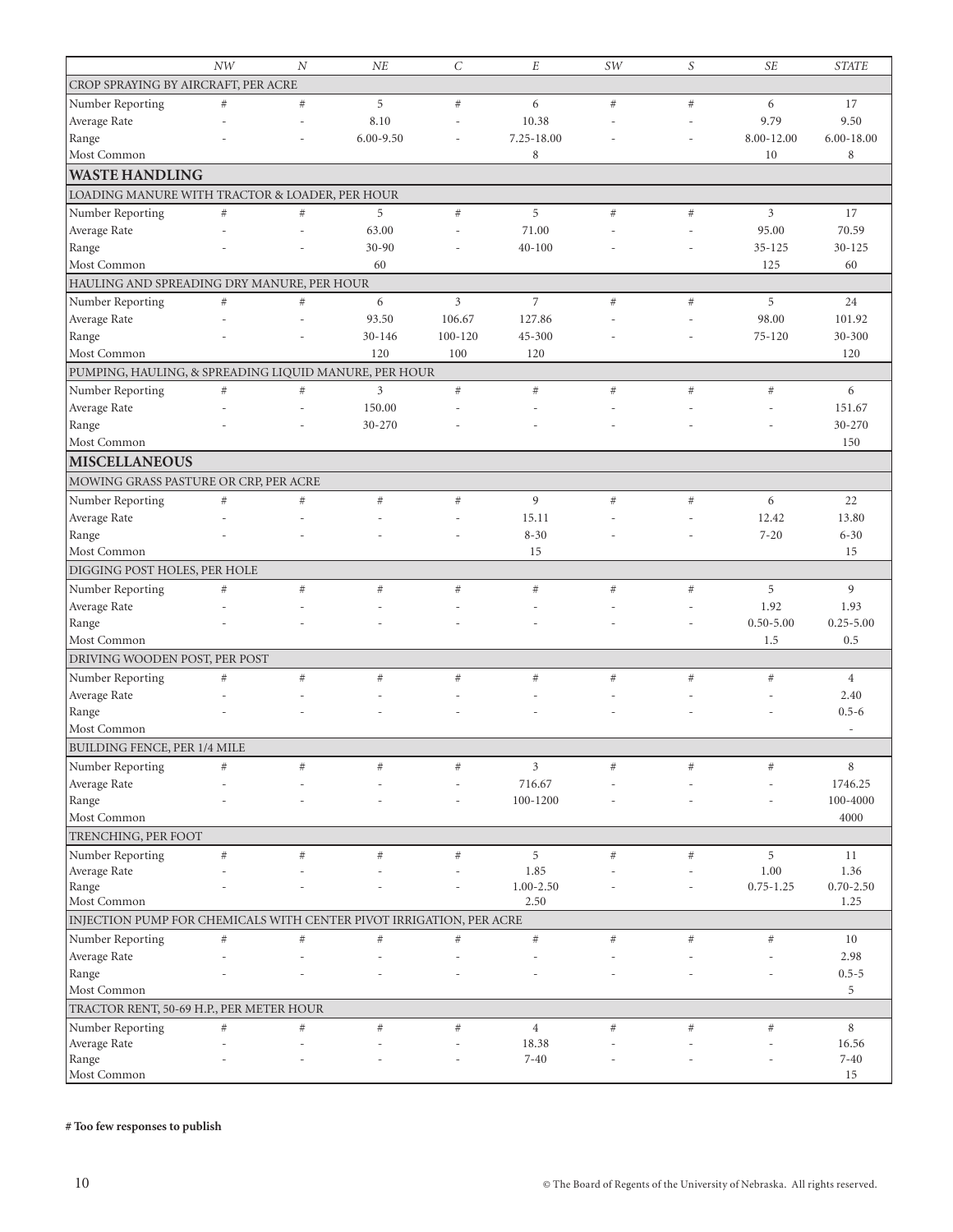|                                                                     | <b>NW</b> | $\overline{N}$ | NE            | $\mathcal{C}_{0}^{2}$ | $\cal E$              | SW   | S    | <b>SE</b>               | <b>STATE</b>     |
|---------------------------------------------------------------------|-----------|----------------|---------------|-----------------------|-----------------------|------|------|-------------------------|------------------|
| CROP SPRAYING BY AIRCRAFT, PER ACRE                                 |           |                |               |                       |                       |      |      |                         |                  |
| Number Reporting                                                    | #         | $\#$           | 5             | $\#$                  | 6                     | #    | $\#$ | 6                       | 17               |
| Average Rate                                                        |           | L,             | 8.10          | $\overline{a}$        | 10.38                 |      | L,   | 9.79                    | 9.50             |
| Range                                                               |           |                | $6.00 - 9.50$ |                       | 7.25-18.00            |      |      | 8.00-12.00              | $6.00 - 18.00$   |
| Most Common                                                         |           |                |               |                       | 8                     |      |      | 10                      | 8                |
| <b>WASTE HANDLING</b>                                               |           |                |               |                       |                       |      |      |                         |                  |
| LOADING MANURE WITH TRACTOR & LOADER, PER HOUR                      |           |                |               |                       |                       |      |      |                         |                  |
|                                                                     |           |                |               |                       | 5                     |      |      |                         | 17               |
| Number Reporting                                                    | $\#$      | $\#$           | 5<br>63.00    | $\#$                  | 71.00                 | $\#$ | $\#$ | $\mathfrak{Z}$<br>95.00 | 70.59            |
| Average Rate                                                        |           |                | $30 - 90$     |                       |                       |      |      |                         |                  |
| Range<br>Most Common                                                |           |                | 60            |                       | $40 - 100$            |      |      | $35 - 125$<br>125       | $30 - 125$<br>60 |
|                                                                     |           |                |               |                       |                       |      |      |                         |                  |
| HAULING AND SPREADING DRY MANURE, PER HOUR                          |           |                |               |                       |                       |      |      |                         |                  |
| Number Reporting                                                    | $\#$      | $\#$           | 6             | 3                     | $\overline{7}$        | $\#$ | $\#$ | 5                       | 24               |
| Average Rate                                                        |           |                | 93.50         | 106.67                | 127.86                |      |      | 98.00                   | 101.92           |
| Range                                                               |           |                | $30 - 146$    | 100-120               | 45-300                |      |      | $75 - 120$              | 30-300           |
| Most Common                                                         |           |                | 120           | 100                   | 120                   |      |      |                         | 120              |
| PUMPING, HAULING, & SPREADING LIQUID MANURE, PER HOUR               |           |                |               |                       |                       |      |      |                         |                  |
| Number Reporting                                                    | $\#$      | $\#$           | 3             | $\#$                  | $\#$                  | $\#$ | $\#$ | $\#$                    | 6                |
| Average Rate                                                        |           |                | 150.00        |                       |                       |      |      |                         | 151.67           |
| Range                                                               |           |                | 30-270        |                       |                       |      |      |                         | 30-270           |
| Most Common                                                         |           |                |               |                       |                       |      |      |                         | 150              |
| <b>MISCELLANEOUS</b>                                                |           |                |               |                       |                       |      |      |                         |                  |
| MOWING GRASS PASTURE OR CRP, PER ACRE                               |           |                |               |                       |                       |      |      |                         |                  |
| Number Reporting                                                    | $\#$      | $\#$           | $\#$          | $\#$                  | 9                     | $#$  | $\#$ | 6                       | 22               |
| Average Rate                                                        |           |                |               |                       | 15.11                 |      |      | 12.42                   | 13.80            |
| Range                                                               |           |                |               |                       | $8 - 30$              |      |      | $7 - 20$                | $6 - 30$         |
| Most Common                                                         |           |                |               |                       | 15                    |      |      |                         | 15               |
| DIGGING POST HOLES, PER HOLE                                        |           |                |               |                       |                       |      |      |                         |                  |
| Number Reporting                                                    | #         | #              | #             | #                     | #                     | #    | $\#$ | 5                       | 9                |
| Average Rate                                                        |           |                |               |                       |                       |      |      | 1.92                    | 1.93             |
| Range                                                               |           |                |               |                       |                       |      |      | $0.50 - 5.00$           | $0.25 - 5.00$    |
| Most Common                                                         |           |                |               |                       |                       |      |      | 1.5                     | 0.5              |
| DRIVING WOODEN POST, PER POST                                       |           |                |               |                       |                       |      |      |                         |                  |
|                                                                     |           | $\#$           |               |                       |                       |      | $\#$ | $\#$                    | $\overline{4}$   |
| Number Reporting                                                    | $\#$      |                | $\#$          | $\#$                  | $\#$                  | $\#$ |      |                         | 2.40             |
| Average Rate                                                        |           |                |               |                       |                       |      |      |                         | $0.5 - 6$        |
| Range<br>Most Common                                                |           |                |               |                       |                       |      |      |                         | ٠                |
|                                                                     |           |                |               |                       |                       |      |      |                         |                  |
| <b>BUILDING FENCE, PER 1/4 MILE</b>                                 |           |                |               |                       |                       |      |      |                         |                  |
| Number Reporting                                                    | $\#$      | #              | $\#$          | $^{\#}$               | $\mathfrak{Z}$        | $\#$ | $\#$ | $\#$                    | 8                |
| Average Rate                                                        |           |                |               |                       | 716.67                |      |      |                         | 1746.25          |
| Range                                                               |           |                |               |                       | 100-1200              |      |      |                         | 100-4000         |
| Most Common                                                         |           |                |               |                       |                       |      |      |                         | 4000             |
| TRENCHING, PER FOOT                                                 |           |                |               |                       |                       |      |      |                         |                  |
| Number Reporting                                                    | $\#$      | $\#$           | $\#$          | $\#$                  | 5                     | $\#$ | $\#$ | 5                       | 11               |
| Average Rate                                                        |           |                |               |                       | 1.85                  |      |      | 1.00                    | 1.36             |
| Range<br>Most Common                                                |           |                |               |                       | $1.00 - 2.50$<br>2.50 |      |      | $0.75 - 1.25$           | $0.70 - 2.50$    |
|                                                                     |           |                |               |                       |                       |      |      |                         | 1.25             |
| INJECTION PUMP FOR CHEMICALS WITH CENTER PIVOT IRRIGATION, PER ACRE |           |                |               |                       |                       |      |      |                         |                  |
| Number Reporting                                                    | $\#$      | $\#$           | $\#$          | $\#$                  | $\#$                  | $\#$ | $\#$ | $\#$                    | 10               |
| Average Rate                                                        |           |                |               |                       |                       |      |      |                         | 2.98             |
| Range                                                               |           |                |               |                       |                       |      |      |                         | $0.5 - 5$        |
| Most Common                                                         |           |                |               |                       |                       |      |      |                         | 5                |
| TRACTOR RENT, 50-69 H.P., PER METER HOUR                            |           |                |               |                       |                       |      |      |                         |                  |
| Number Reporting                                                    | $\#$      | $\#$           | $\#$          | $\#$                  | $\overline{4}$        | $\#$ | $\#$ | $\#$                    | 8                |
| Average Rate                                                        |           |                |               |                       | 18.38                 |      |      |                         | 16.56            |
| Range                                                               |           |                |               |                       | $7 - 40$              |      |      |                         | $7 - 40$         |
| Most Common                                                         |           |                |               |                       |                       |      |      |                         | 15               |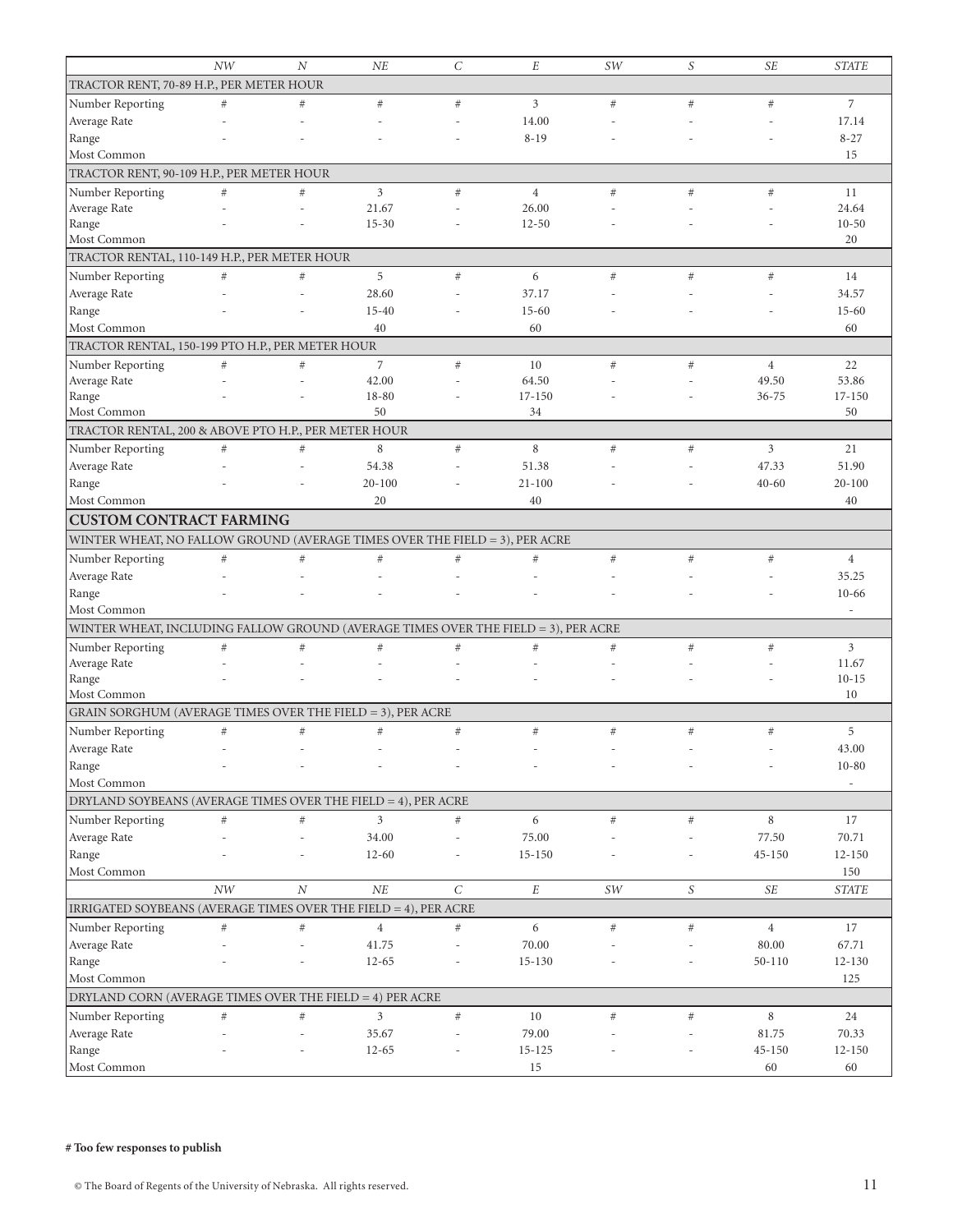|                                                                                    | NW   | $\overline{N}$ | NE             | $\mathcal{C}_{0}^{2}$ | E              | SW   | S    | <b>SE</b>      | <b>STATE</b>             |
|------------------------------------------------------------------------------------|------|----------------|----------------|-----------------------|----------------|------|------|----------------|--------------------------|
| TRACTOR RENT, 70-89 H.P., PER METER HOUR                                           |      |                |                |                       |                |      |      |                |                          |
| Number Reporting                                                                   | $\#$ | #              | $\#$           | $\#$                  | 3              | #    | #    | #              | $\overline{7}$           |
| Average Rate                                                                       |      |                |                |                       | 14.00          |      |      |                | 17.14                    |
| Range                                                                              |      |                |                |                       | $8 - 19$       |      |      |                | $8 - 27$                 |
| Most Common                                                                        |      |                |                |                       |                |      |      |                | 15                       |
| TRACTOR RENT, 90-109 H.P., PER METER HOUR                                          |      |                |                |                       |                |      |      |                |                          |
| Number Reporting                                                                   | $\#$ | #              | 3              | $\#$                  | $\overline{4}$ | #    | #    | #              | 11                       |
| Average Rate                                                                       |      |                | 21.67          |                       | 26.00          |      |      |                | 24.64                    |
| Range                                                                              |      |                | $15 - 30$      |                       | $12 - 50$      |      |      |                | $10 - 50$                |
| Most Common                                                                        |      |                |                |                       |                |      |      |                | 20                       |
| TRACTOR RENTAL, 110-149 H.P., PER METER HOUR                                       |      |                |                |                       |                |      |      |                |                          |
| Number Reporting                                                                   | $\#$ | $\#$           | 5              | $\#$                  | 6              | $#$  | #    | $\#$           | 14                       |
| Average Rate                                                                       |      | J.             | 28.60          |                       | 37.17          |      |      |                | 34.57                    |
| Range                                                                              |      |                | $15 - 40$      |                       | $15 - 60$      |      |      |                | $15 - 60$                |
| Most Common                                                                        |      |                | 40             |                       | 60             |      |      |                | 60                       |
| TRACTOR RENTAL, 150-199 PTO H.P., PER METER HOUR                                   |      |                |                |                       |                |      |      |                |                          |
| Number Reporting                                                                   | $\#$ | $\#$           | 7              | $\#$                  | 10             | $#$  | #    | $\overline{4}$ | 22                       |
| Average Rate                                                                       |      |                | 42.00          |                       | 64.50          |      |      | 49.50          | 53.86                    |
| Range                                                                              |      |                | 18-80          |                       | $17 - 150$     |      |      | $36 - 75$      | 17-150                   |
| Most Common                                                                        |      |                | 50             |                       | 34             |      |      |                | 50                       |
| TRACTOR RENTAL, 200 & ABOVE PTO H.P., PER METER HOUR                               |      |                |                |                       |                |      |      |                |                          |
| Number Reporting                                                                   | $\#$ | $\#$           | $\,$ 8 $\,$    | $\#$                  | 8              | #    | #    | 3              | 21                       |
| Average Rate                                                                       |      |                | 54.38          |                       | 51.38          |      |      | 47.33          | 51.90                    |
| Range                                                                              |      |                | $20 - 100$     |                       | $21 - 100$     |      |      | $40 - 60$      | $20 - 100$               |
| Most Common                                                                        |      |                | 20             |                       | 40             |      |      |                | 40                       |
| <b>CUSTOM CONTRACT FARMING</b>                                                     |      |                |                |                       |                |      |      |                |                          |
| WINTER WHEAT, NO FALLOW GROUND (AVERAGE TIMES OVER THE FIELD = 3), PER ACRE        |      |                |                |                       |                |      |      |                |                          |
| Number Reporting                                                                   | $\#$ | #              | $\#$           | $\#$                  | #              | $\#$ | $\#$ | $\#$           | $\overline{4}$           |
| Average Rate                                                                       |      |                |                |                       |                |      |      |                | 35.25                    |
| Range                                                                              |      |                |                |                       |                |      |      |                | $10 - 66$                |
| Most Common                                                                        |      |                |                |                       |                |      |      |                | $\overline{\phantom{a}}$ |
| WINTER WHEAT, INCLUDING FALLOW GROUND (AVERAGE TIMES OVER THE FIELD = 3), PER ACRE |      |                |                |                       |                |      |      |                |                          |
| Number Reporting                                                                   | $\#$ | $\#$           | $\#$           | $\#$                  | $\#$           | $\#$ | $\#$ | $\#$           | 3                        |
| Average Rate                                                                       |      |                |                |                       |                |      |      |                | 11.67                    |
| Range                                                                              |      |                |                |                       |                |      |      |                | $10 - 15$                |
| Most Common                                                                        |      |                |                |                       |                |      |      |                | 10                       |
| GRAIN SORGHUM (AVERAGE TIMES OVER THE FIELD = 3), PER ACRE                         |      |                |                |                       |                |      |      |                |                          |
| Number Reporting                                                                   | $\#$ | $\#$           | $\#$           | $\#$                  | $\#$           | $\#$ | $\#$ | $\#$           | 5                        |
| Average Rate                                                                       |      | ٠              |                |                       |                |      |      |                | 43.00                    |
| Range                                                                              |      |                |                |                       |                |      |      |                | $10 - 80$                |
| Most Common                                                                        |      |                |                |                       |                |      |      |                |                          |
| DRYLAND SOYBEANS (AVERAGE TIMES OVER THE FIELD = 4), PER ACRE                      |      |                |                |                       |                |      |      |                |                          |
| Number Reporting                                                                   | $\#$ | $\#$           | $\overline{3}$ | $\#$                  | 6              | $\#$ | $\#$ | 8              | 17                       |
| Average Rate                                                                       |      | ÷,             | 34.00          | $\sim$                | 75.00          |      |      | 77.50          | 70.71                    |
| Range                                                                              |      |                | $12 - 60$      |                       | $15 - 150$     |      |      | 45-150         | $12 - 150$               |
| Most Common                                                                        |      |                |                |                       |                |      |      |                | 150                      |
|                                                                                    | NW   | $\cal N$       | NE             | $\mathcal{C}$         | $\cal E$       | SW   | S    | SE             | <b>STATE</b>             |
| IRRIGATED SOYBEANS (AVERAGE TIMES OVER THE FIELD = 4), PER ACRE                    |      |                |                |                       |                |      |      |                |                          |
| Number Reporting                                                                   | $\#$ | $\#$           | $\overline{4}$ | $\#$                  | 6              | $\#$ | $\#$ | $\overline{4}$ | 17                       |
| Average Rate                                                                       |      |                | 41.75          |                       | 70.00          |      |      | 80.00          | 67.71                    |
| Range                                                                              |      |                | $12 - 65$      |                       | 15-130         |      |      | $50 - 110$     | $12 - 130$               |
| Most Common                                                                        |      |                |                |                       |                |      |      |                | 125                      |
| DRYLAND CORN (AVERAGE TIMES OVER THE FIELD = 4) PER ACRE                           |      |                |                |                       |                |      |      |                |                          |
| Number Reporting                                                                   | $\#$ | $\#$           | 3              | $\#$                  | $10\,$         | $\#$ | $\#$ | 8              | 24                       |
| Average Rate                                                                       |      |                | 35.67          |                       | 79.00          |      |      | 81.75          | 70.33                    |
| Range                                                                              |      |                | $12 - 65$      |                       | 15-125         |      |      | $45 - 150$     | $12 - 150$               |
| Most Common                                                                        |      |                |                |                       | 15             |      |      | 60             | 60                       |